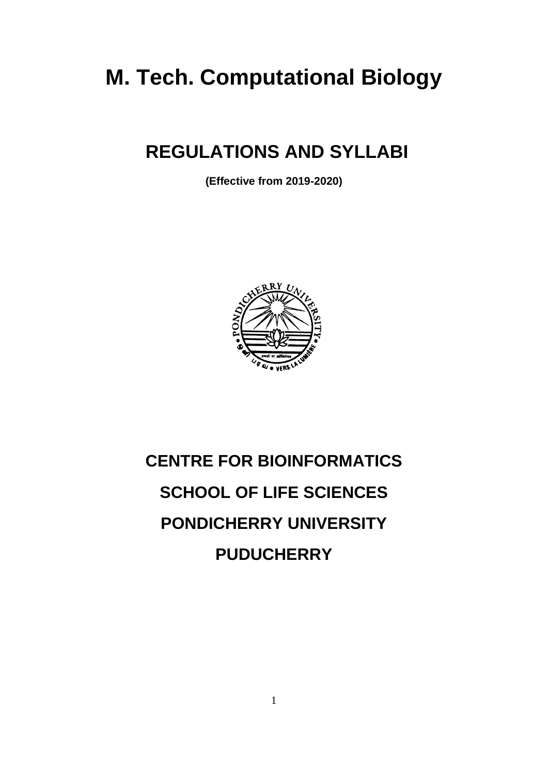# **M. Tech. Computational Biology**

# **REGULATIONS AND SYLLABI**

**(Effective from 2019-2020)**



# **CENTRE FOR BIOINFORMATICS SCHOOL OF LIFE SCIENCES PONDICHERRY UNIVERSITY PUDUCHERRY**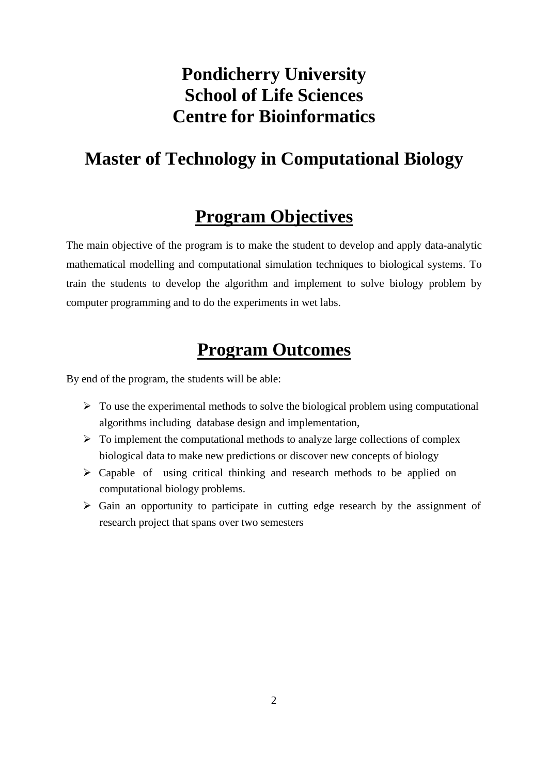# **Pondicherry University School of Life Sciences Centre for Bioinformatics**

# **Master of Technology in Computational Biology**

# **Program Objectives**

The main objective of the program is to make the student to develop and apply data-analytic mathematical modelling and computational simulation techniques to biological systems. To train the students to develop the algorithm and implement to solve biology problem by computer programming and to do the experiments in wet labs.

# **Program Outcomes**

By end of the program, the students will be able:

- $\triangleright$  To use the experimental methods to solve the biological problem using computational algorithms including database design and implementation,
- $\triangleright$  To implement the computational methods to analyze large collections of complex biological data to make new predictions or discover new concepts of biology
- ➢ Capable of using critical thinking and research methods to be applied on computational biology problems.
- ➢ Gain an opportunity to participate in cutting edge research by the assignment of research project that spans over two semesters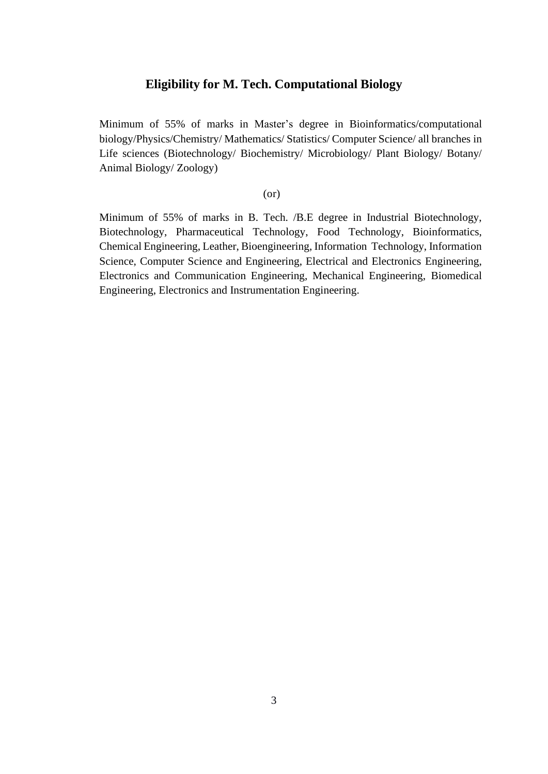### **Eligibility for M. Tech. Computational Biology**

Minimum of 55% of marks in Master's degree in Bioinformatics/computational biology/Physics/Chemistry/ Mathematics/ Statistics/ Computer Science/ all branches in Life sciences (Biotechnology/ Biochemistry/ Microbiology/ Plant Biology/ Botany/ Animal Biology/ Zoology)

#### (or)

Minimum of 55% of marks in B. Tech. /B.E degree in Industrial Biotechnology, Biotechnology, Pharmaceutical Technology, Food Technology, Bioinformatics, Chemical Engineering, Leather, Bioengineering, Information Technology, Information Science, Computer Science and Engineering, Electrical and Electronics Engineering, Electronics and Communication Engineering, Mechanical Engineering, Biomedical Engineering, Electronics and Instrumentation Engineering.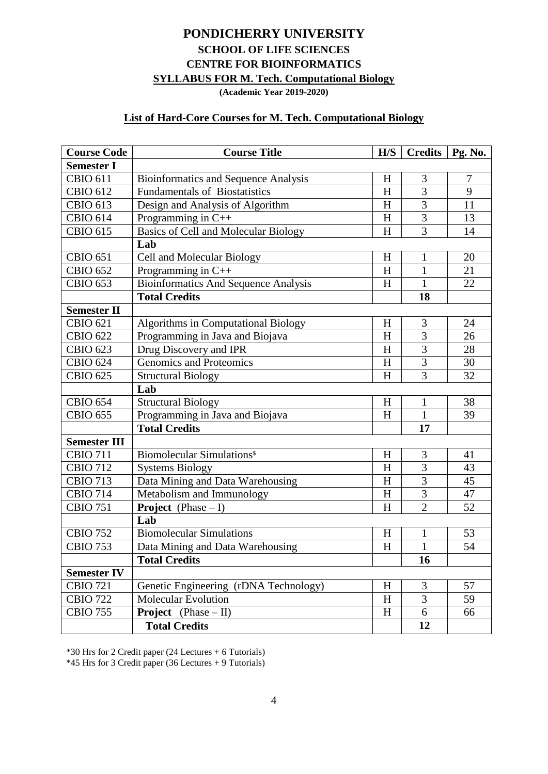## **PONDICHERRY UNIVERSITY SCHOOL OF LIFE SCIENCES CENTRE FOR BIOINFORMATICS**

**SYLLABUS FOR M. Tech. Computational Biology**

**(Academic Year 2019-2020)**

### **List of Hard-Core Courses for M. Tech. Computational Biology**

| <b>Course Code</b>  | <b>Course Title</b>                           | H/S | <b>Credits</b> | Pg. No. |
|---------------------|-----------------------------------------------|-----|----------------|---------|
| <b>Semester I</b>   |                                               |     |                |         |
| <b>CBIO 611</b>     | <b>Bioinformatics and Sequence Analysis</b>   | H   | 3              | 7       |
| <b>CBIO 612</b>     | <b>Fundamentals of Biostatistics</b>          | H   | 3              | 9       |
| <b>CBIO 613</b>     | Design and Analysis of Algorithm              | H   | 3              | 11      |
| <b>CBIO 614</b>     | Programming in $C++$                          | H   | 3              | 13      |
| <b>CBIO 615</b>     | <b>Basics of Cell and Molecular Biology</b>   | H   | 3              | 14      |
|                     | Lab                                           |     |                |         |
| <b>CBIO 651</b>     | Cell and Molecular Biology                    | H   | $\mathbf{1}$   | 20      |
| <b>CBIO 652</b>     | Programming in C++                            | H   | $\mathbf{1}$   | 21      |
| <b>CBIO 653</b>     | <b>Bioinformatics And Sequence Analysis</b>   | H   | 1              | 22      |
|                     | <b>Total Credits</b>                          |     | 18             |         |
| <b>Semester II</b>  |                                               |     |                |         |
| <b>CBIO 621</b>     | Algorithms in Computational Biology           | H   | 3              | 24      |
| CBIO 622            | Programming in Java and Biojava               | H   | 3              | 26      |
| <b>CBIO 623</b>     | Drug Discovery and IPR                        | H   | 3              | 28      |
| <b>CBIO 624</b>     | Genomics and Proteomics                       | H   | 3              | 30      |
| <b>CBIO 625</b>     | <b>Structural Biology</b>                     | H   | 3              | 32      |
|                     | Lab                                           |     |                |         |
| <b>CBIO 654</b>     | Structural Biology                            | H   | $\mathbf{1}$   | 38      |
| <b>CBIO 655</b>     | Programming in Java and Biojava               | H   | 1              | 39      |
|                     | <b>Total Credits</b>                          |     | 17             |         |
| <b>Semester III</b> |                                               |     |                |         |
| <b>CBIO 711</b>     | <b>Biomolecular Simulations</b> <sup>\$</sup> | H   | 3              | 41      |
| <b>CBIO 712</b>     | <b>Systems Biology</b>                        | H   | 3              | 43      |
| <b>CBIO 713</b>     | Data Mining and Data Warehousing              | H   | 3              | 45      |
| <b>CBIO 714</b>     | Metabolism and Immunology                     | H   | 3              | 47      |
| <b>CBIO 751</b>     | <b>Project</b> (Phase $- I$ )                 | H   | $\overline{2}$ | 52      |
|                     | Lab                                           |     |                |         |
| <b>CBIO 752</b>     | <b>Biomolecular Simulations</b>               | H   | 1              | 53      |
| <b>CBIO 753</b>     | Data Mining and Data Warehousing              | H   | $\mathbf{1}$   | 54      |
|                     | <b>Total Credits</b>                          |     | 16             |         |
| <b>Semester IV</b>  |                                               |     |                |         |
| <b>CBIO 721</b>     | Genetic Engineering (rDNA Technology)         | H   | 3              | 57      |
| <b>CBIO 722</b>     | <b>Molecular Evolution</b>                    | H   | 3              | 59      |
| <b>CBIO 755</b>     | <b>Project</b> (Phase $-$ II)                 | H   | 6              | 66      |
|                     | <b>Total Credits</b>                          |     | 12             |         |

\*30 Hrs for 2 Credit paper (24 Lectures + 6 Tutorials)

\*45 Hrs for 3 Credit paper (36 Lectures + 9 Tutorials)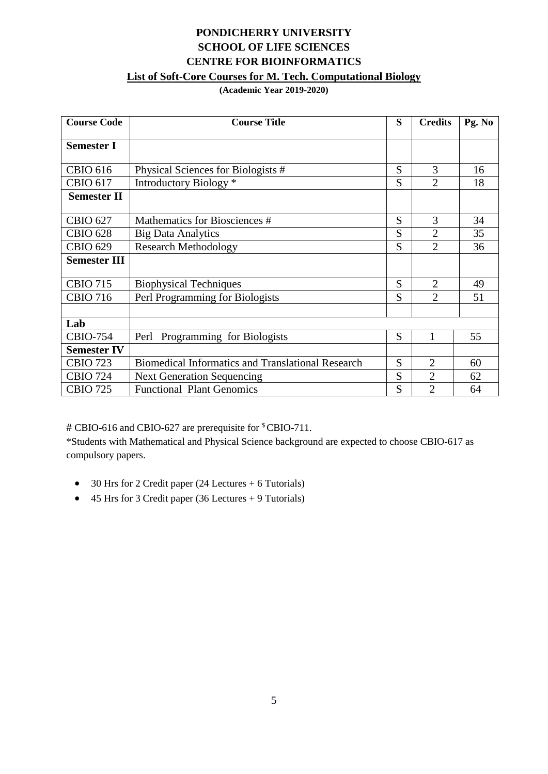### **PONDICHERRY UNIVERSITY SCHOOL OF LIFE SCIENCES CENTRE FOR BIOINFORMATICS**

### **List of Soft-Core Courses for M. Tech. Computational Biology**

**(Academic Year 2019-2020)**

| <b>Course Code</b>  | <b>Course Title</b>                                      | S | <b>Credits</b> | Pg. No |
|---------------------|----------------------------------------------------------|---|----------------|--------|
| <b>Semester I</b>   |                                                          |   |                |        |
| <b>CBIO 616</b>     | Physical Sciences for Biologists #                       | S | 3              | 16     |
| <b>CBIO 617</b>     | Introductory Biology *                                   | S | $\overline{2}$ | 18     |
| <b>Semester II</b>  |                                                          |   |                |        |
| <b>CBIO 627</b>     | Mathematics for Biosciences #                            | S | 3              | 34     |
| <b>CBIO 628</b>     | <b>Big Data Analytics</b>                                | S | $\overline{2}$ | 35     |
| <b>CBIO 629</b>     | <b>Research Methodology</b>                              | S | $\overline{2}$ | 36     |
| <b>Semester III</b> |                                                          |   |                |        |
| <b>CBIO 715</b>     | <b>Biophysical Techniques</b>                            | S | $\overline{2}$ | 49     |
| <b>CBIO 716</b>     | Perl Programming for Biologists                          | S | $\overline{2}$ | 51     |
|                     |                                                          |   |                |        |
| Lab                 |                                                          |   |                |        |
| <b>CBIO-754</b>     | Programming for Biologists<br>Perl                       | S | 1              | 55     |
| <b>Semester IV</b>  |                                                          |   |                |        |
| <b>CBIO 723</b>     | <b>Biomedical Informatics and Translational Research</b> | S | $\overline{2}$ | 60     |
| <b>CBIO 724</b>     | <b>Next Generation Sequencing</b>                        | S | $\overline{2}$ | 62     |
| <b>CBIO 725</b>     | <b>Functional Plant Genomics</b>                         | S | $\overline{2}$ | 64     |

# CBIO-616 and CBIO-627 are prerequisite for <sup>\$</sup> CBIO-711.

\*Students with Mathematical and Physical Science background are expected to choose CBIO-617 as compulsory papers.

- 30 Hrs for 2 Credit paper (24 Lectures + 6 Tutorials)
- 45 Hrs for 3 Credit paper (36 Lectures + 9 Tutorials)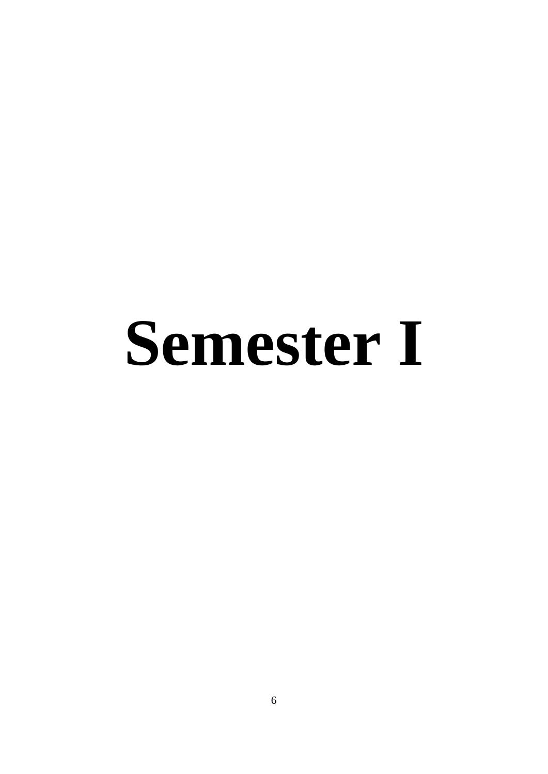# **Semester I**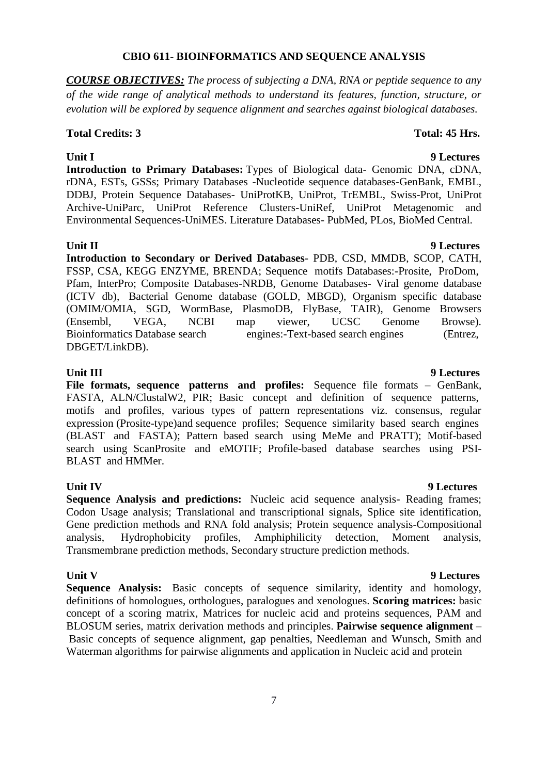### **CBIO 611- BIOINFORMATICS AND SEQUENCE ANALYSIS**

*COURSE OBJECTIVES: The process of subjecting a DNA, RNA or peptide sequence to any of the wide range of analytical methods to understand its features, function, structure, or evolution will be explored by sequence alignment and searches against biological databases.*

### **Total Credits: 3 Total: 45 Hrs.**

**Introduction to Primary Databases:** Types of Biological data- Genomic DNA, cDNA, rDNA, ESTs, GSSs; Primary Databases -Nucleotide sequence databases-GenBank, EMBL, DDBJ, Protein Sequence Databases- UniProtKB, UniProt, TrEMBL, Swiss-Prot, UniProt Archive-UniParc, UniProt Reference Clusters-UniRef, UniProt Metagenomic and Environmental Sequences-UniMES. Literature Databases- PubMed, PLos, BioMed Central.

#### **Unit II 9 Lectures**

**Introduction to Secondary or Derived Databases**- PDB, CSD, MMDB, SCOP, CATH, FSSP, CSA, KEGG ENZYME, BRENDA; Sequence motifs Databases:-Prosite, ProDom, Pfam, InterPro; Composite Databases-NRDB, Genome Databases- Viral genome database (ICTV db), Bacterial Genome database (GOLD, MBGD), Organism specific database (OMIM/OMIA, SGD, WormBase, PlasmoDB, FlyBase, TAIR), Genome Browsers (Ensembl, VEGA, NCBI map viewer, UCSC Genome Browse). Bioinformatics Database search engines:-Text-based search engines (Entrez, DBGET/LinkDB).

**File formats, sequence patterns and profiles:** Sequence file formats – GenBank, FASTA, ALN/ClustalW2, PIR; Basic concept and definition of sequence patterns, motifs and profiles, various types of pattern representations viz. consensus, regular expression (Prosite-type)and sequence profiles; Sequence similarity based search engines (BLAST and FASTA); Pattern based search using MeMe and PRATT); Motif-based search using ScanProsite and eMOTIF; Profile-based database searches using PSI-BLAST and HMMer.

#### **Unit IV** 9 Lectures

**Sequence Analysis and predictions:** Nucleic acid sequence analysis- Reading frames; Codon Usage analysis; Translational and transcriptional signals, Splice site identification, Gene prediction methods and RNA fold analysis; Protein sequence analysis-Compositional analysis, Hydrophobicity profiles, Amphiphilicity detection, Moment analysis, Transmembrane prediction methods, Secondary structure prediction methods.

**Sequence Analysis:** Basic concepts of sequence similarity, identity and homology, definitions of homologues, orthologues, paralogues and xenologues. **Scoring matrices:** basic concept of a scoring matrix, Matrices for nucleic acid and proteins sequences, PAM and BLOSUM series, matrix derivation methods and principles. **Pairwise sequence alignment** – Basic concepts of sequence alignment, gap penalties, Needleman and Wunsch, Smith and Waterman algorithms for pairwise alignments and application in Nucleic acid and protein

### **Unit III** 9 Lectures

### **Unit V** 9 Lectures

### **Unit I** 9 Lectures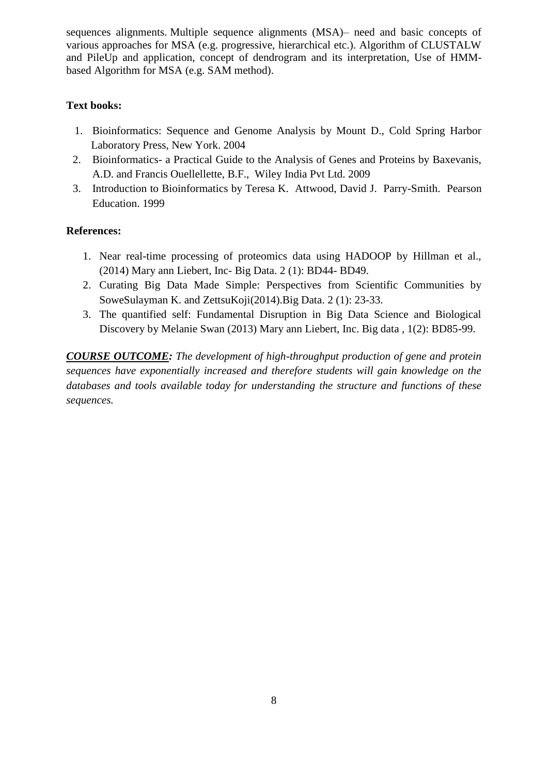sequences alignments. Multiple sequence alignments (MSA)– need and basic concepts of various approaches for MSA (e.g. progressive, hierarchical etc.). Algorithm of CLUSTALW and PileUp and application, concept of dendrogram and its interpretation, Use of HMMbased Algorithm for MSA (e.g. SAM method).

### **Text books:**

- 1. Bioinformatics: Sequence and Genome Analysis by Mount D., Cold Spring Harbor Laboratory Press, New York. 2004
- 2. Bioinformatics- a Practical Guide to the Analysis of Genes and Proteins by Baxevanis, A.D. and Francis Ouellellette, B.F., Wiley India Pvt Ltd. 2009
- 3. Introduction to Bioinformatics by Teresa K. Attwood, David J. Parry-Smith. Pearson Education. 1999

### **References:**

- 1. Near real-time processing of proteomics data using HADOOP by Hillman et al., (2014) Mary ann Liebert, Inc- Big Data. 2 (1): BD44- BD49.
- 2. Curating Big Data Made Simple: Perspectives from Scientific Communities by SoweSulayman K. and ZettsuKoji(2014).Big Data. 2 (1): 23-33.
- 3. The quantified self: Fundamental Disruption in Big Data Science and Biological Discovery by Melanie Swan (2013) Mary ann Liebert, Inc. Big data , 1(2): BD85-99.

*COURSE OUTCOME: The development of high-throughput production of gene and protein sequences have exponentially increased and therefore students will gain knowledge on the databases and tools available today for understanding the structure and functions of these sequences.*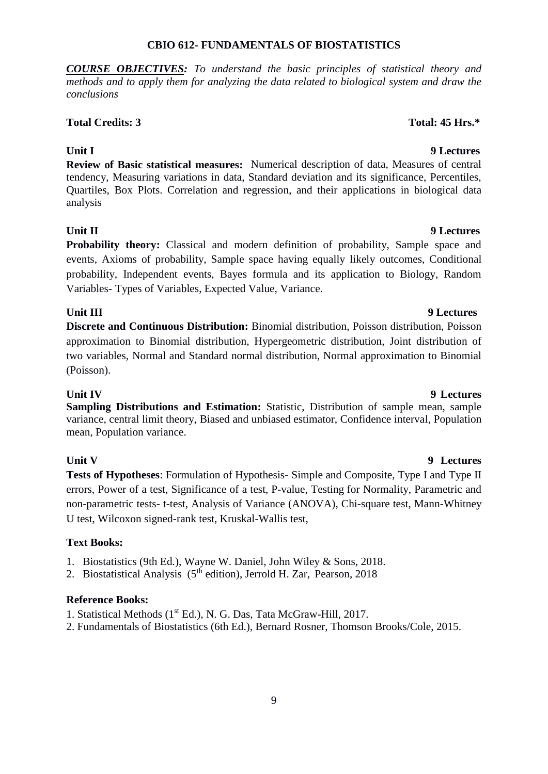#### 9

### **CBIO 612- FUNDAMENTALS OF BIOSTATISTICS**

*COURSE OBJECTIVES: To understand the basic principles of statistical theory and methods and to apply them for analyzing the data related to biological system and draw the conclusions* 

### **Total Credits: 3 Total: 45 Hrs.\***

### **Unit I** 9 Lectures

**Review of Basic statistical measures:** Numerical description of data, Measures of central tendency, Measuring variations in data, Standard deviation and its significance, Percentiles, Quartiles, Box Plots. Correlation and regression, and their applications in biological data analysis

### **Unit II 9 Lectures**

**Probability theory:** Classical and modern definition of probability, Sample space and events, Axioms of probability, Sample space having equally likely outcomes, Conditional probability, Independent events, Bayes formula and its application to Biology, Random Variables- Types of Variables, Expected Value, Variance.

### **Unit III** 9 Lectures

**Discrete and Continuous Distribution:** Binomial distribution, Poisson distribution, Poisson approximation to Binomial distribution, Hypergeometric distribution, Joint distribution of two variables, Normal and Standard normal distribution, Normal approximation to Binomial (Poisson).

**Unit IV** 9 Lectures **Sampling Distributions and Estimation:** Statistic, Distribution of sample mean, sample variance, central limit theory, Biased and unbiased estimator, Confidence interval, Population mean, Population variance.

### **Unit V** 9 Lectures

**Tests of Hypotheses**: Formulation of Hypothesis- Simple and Composite, Type I and Type II errors, Power of a test, Significance of a test, P-value, Testing for Normality, Parametric and non-parametric tests- t-test, Analysis of Variance (ANOVA), Chi-square test, Mann-Whitney U test, Wilcoxon signed-rank test, Kruskal-Wallis test,

### **Text Books:**

- 1. Biostatistics (9th Ed.), Wayne W. Daniel, John Wiley & Sons, 2018.
- 2. Biostatistical Analysis (5<sup>th</sup> edition), Jerrold H. Zar, Pearson, 2018

### **Reference Books:**

- 1. Statistical Methods (1st Ed.), N. G. Das, Tata McGraw-Hill, 2017.
- 2. Fundamentals of Biostatistics (6th Ed.), Bernard Rosner, Thomson Brooks/Cole, 2015.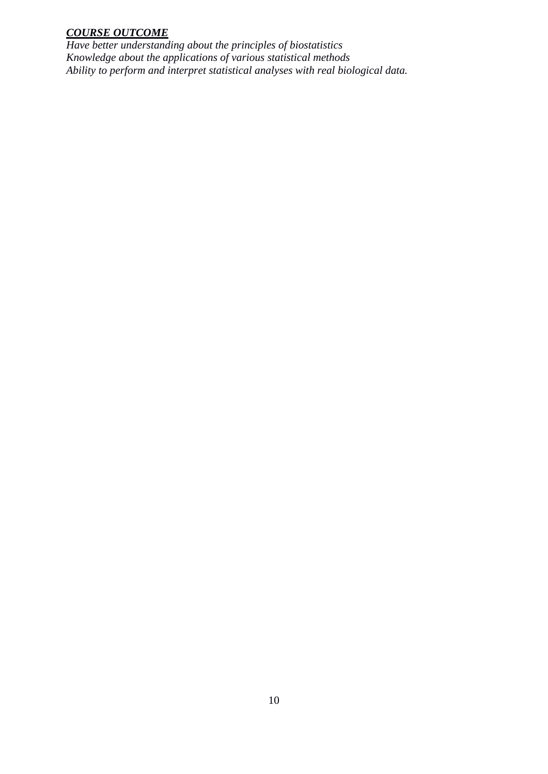### *COURSE OUTCOME*

*Have better understanding about the principles of biostatistics Knowledge about the applications of various statistical methods Ability to perform and interpret statistical analyses with real biological data.*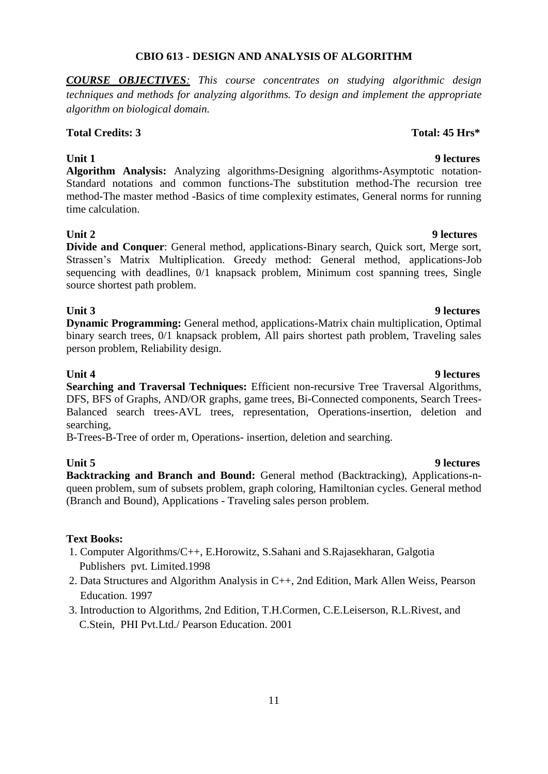### **CBIO 613 - DESIGN AND ANALYSIS OF ALGORITHM**

*COURSE OBJECTIVES: This course concentrates on studying algorithmic design techniques and methods for analyzing algorithms. To design and implement the appropriate algorithm on biological domain.* 

### **Total Credits: 3** Total: 45 Hrs<sup>\*</sup>

**Algorithm Analysis:** Analyzing algorithms-Designing algorithms-Asymptotic notation-Standard notations and common functions-The substitution method-The recursion tree method-The master method -Basics of time complexity estimates, General norms for running time calculation.

### **Unit 2 9 lectures**

**Divide and Conquer**: General method, applications-Binary search, Quick sort, Merge sort, Strassen's Matrix Multiplication. Greedy method: General method, applications-Job sequencing with deadlines, 0/1 knapsack problem, Minimum cost spanning trees, Single source shortest path problem.

### **Unit 3 9 lectures**

**Dynamic Programming:** General method, applications-Matrix chain multiplication, Optimal binary search trees, 0/1 knapsack problem, All pairs shortest path problem, Traveling sales person problem, Reliability design.

**Unit 4** 9 lectures **Searching and Traversal Techniques:** Efficient non-recursive Tree Traversal Algorithms, DFS, BFS of Graphs, AND/OR graphs, game trees, Bi-Connected components, Search Trees-Balanced search trees-AVL trees, representation, Operations-insertion, deletion and searching,

B-Trees-B-Tree of order m, Operations- insertion, deletion and searching.

**Unit 5** 9 lectures **Backtracking and Branch and Bound:** General method (Backtracking), Applications-nqueen problem, sum of subsets problem, graph coloring, Hamiltonian cycles. General method (Branch and Bound), Applications - Traveling sales person problem.

### **Text Books:**

- 1. Computer Algorithms/C++, E.Horowitz, S.Sahani and S.Rajasekharan, Galgotia Publishers pvt. Limited.1998
- 2. Data Structures and Algorithm Analysis in C++, 2nd Edition, Mark Allen Weiss, Pearson Education. 1997
- 3. Introduction to Algorithms, 2nd Edition, T.H.Cormen, C.E.Leiserson, R.L.Rivest, and C.Stein, PHI Pvt.Ltd./ Pearson Education. 2001

### **Unit 1 9 lectures**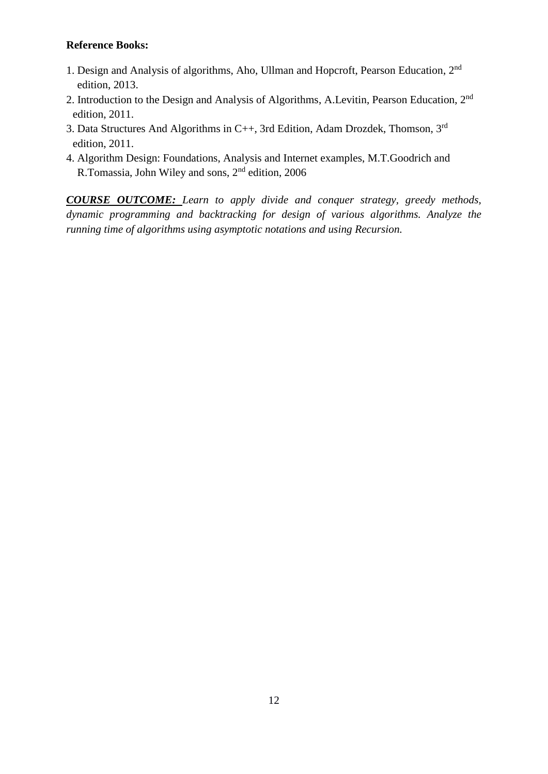#### **Reference Books:**

- 1. Design and Analysis of algorithms, Aho, Ullman and Hopcroft, Pearson Education, 2nd edition, 2013.
- 2. Introduction to the Design and Analysis of Algorithms, A.Levitin, Pearson Education, 2nd edition, 2011.
- 3. Data Structures And Algorithms in C++, 3rd Edition, Adam Drozdek, Thomson, 3rd edition, 2011.
- 4. Algorithm Design: Foundations, Analysis and Internet examples, M.T.Goodrich and R.Tomassia, John Wiley and sons, 2nd edition, 2006

*COURSE OUTCOME: Learn to apply divide and conquer strategy, greedy methods, dynamic programming and backtracking for design of various algorithms. Analyze the running time of algorithms using asymptotic notations and using Recursion.*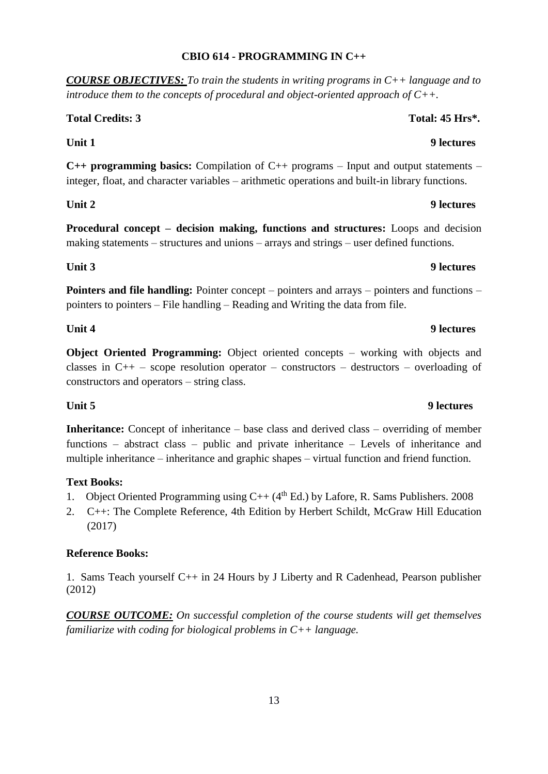### **CBIO 614 - PROGRAMMING IN C++**

*COURSE OBJECTIVES: To train the students in writing programs in C++ language and to introduce them to the concepts of procedural and object-oriented approach of C++.*

### **Total Credits: 3 Total: 45 Hrs\*.**

**C++ programming basics:** Compilation of C++ programs – Input and output statements – integer, float, and character variables – arithmetic operations and built-in library functions.

**Procedural concept – decision making, functions and structures:** Loops and decision making statements – structures and unions – arrays and strings – user defined functions.

**Unit 2** 9 lectures

**Unit 3 9 lectures**

**Pointers and file handling:** Pointer concept – pointers and arrays – pointers and functions – pointers to pointers – File handling – Reading and Writing the data from file.

**Object Oriented Programming:** Object oriented concepts – working with objects and classes in  $C_{++}$  – scope resolution operator – constructors – destructors – overloading of constructors and operators – string class.

**Inheritance:** Concept of inheritance – base class and derived class – overriding of member functions – abstract class – public and private inheritance – Levels of inheritance and multiple inheritance – inheritance and graphic shapes – virtual function and friend function.

### **Text Books:**

- 1. Object Oriented Programming using  $C++$  (4<sup>th</sup> Ed.) by Lafore, R. Sams Publishers. 2008
- 2. C++: The Complete Reference, 4th Edition by Herbert Schildt, McGraw Hill Education (2017)

### **Reference Books:**

1. Sams Teach yourself C++ in 24 Hours by J Liberty and R Cadenhead, Pearson publisher (2012)

*COURSE OUTCOME: On successful completion of the course students will get themselves familiarize with coding for biological problems in C++ language.*

# **Unit 1** 9 lectures

### **Unit 4** 9 lectures

### **Unit 5** 9 lectures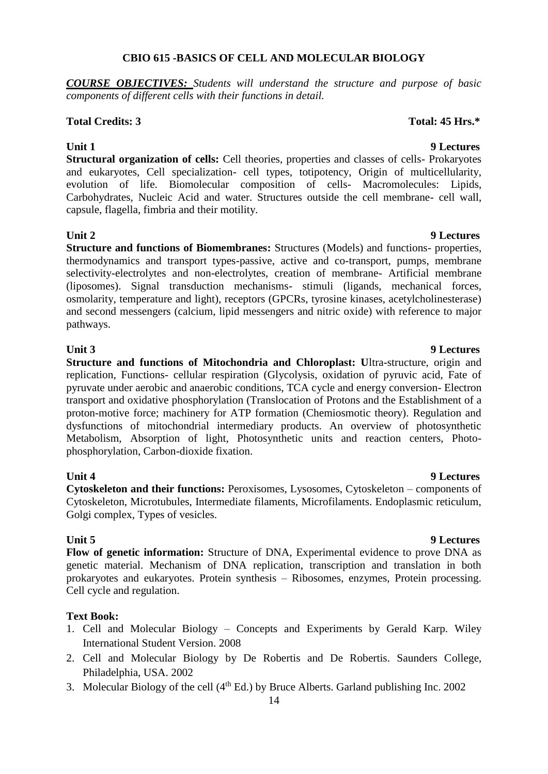### **CBIO 615 -BASICS OF CELL AND MOLECULAR BIOLOGY**

*COURSE OBJECTIVES: Students will understand the structure and purpose of basic components of different cells with their functions in detail.*

### **Total Credits: 3 Total: 45 Hrs.\***

### **Unit 1** 9 Lectures

**Structural organization of cells:** Cell theories, properties and classes of cells- Prokaryotes and eukaryotes, Cell specialization- cell types, totipotency, Origin of multicellularity, evolution of life. Biomolecular composition of cells- Macromolecules: Lipids, Carbohydrates, Nucleic Acid and water. Structures outside the cell membrane- cell wall, capsule, flagella, fimbria and their motility.

**Structure and functions of Biomembranes:** Structures (Models) and functions- properties, thermodynamics and transport types-passive, active and co-transport, pumps, membrane selectivity-electrolytes and non-electrolytes, creation of membrane- Artificial membrane (liposomes). Signal transduction mechanisms- stimuli (ligands, mechanical forces, osmolarity, temperature and light), receptors (GPCRs, tyrosine kinases, acetylcholinesterase) and second messengers (calcium, lipid messengers and nitric oxide) with reference to major pathways.

**Structure and functions of Mitochondria and Chloroplast: U**ltra-structure, origin and replication, Functions- cellular respiration (Glycolysis, oxidation of pyruvic acid, Fate of pyruvate under aerobic and anaerobic conditions, TCA cycle and energy conversion- Electron transport and oxidative phosphorylation (Translocation of Protons and the Establishment of a proton-motive force; machinery for ATP formation (Chemiosmotic theory). Regulation and dysfunctions of mitochondrial intermediary products. An overview of photosynthetic Metabolism, Absorption of light, Photosynthetic units and reaction centers, Photophosphorylation, Carbon-dioxide fixation.

**Cytoskeleton and their functions:** Peroxisomes, Lysosomes, Cytoskeleton – components of Cytoskeleton, Microtubules, Intermediate filaments, Microfilaments. Endoplasmic reticulum, Golgi complex, Types of vesicles.

**Flow of genetic information:** Structure of DNA, Experimental evidence to prove DNA as genetic material. Mechanism of DNA replication, transcription and translation in both prokaryotes and eukaryotes. Protein synthesis – Ribosomes, enzymes, Protein processing. Cell cycle and regulation.

### **Text Book:**

- 1. Cell and Molecular Biology Concepts and Experiments by Gerald Karp. Wiley International Student Version. 2008
- 2. Cell and Molecular Biology by De Robertis and De Robertis. Saunders College, Philadelphia, USA. 2002
- 3. Molecular Biology of the cell  $(4<sup>th</sup> Ed.)$  by Bruce Alberts. Garland publishing Inc. 2002

### **Unit 3** 9 Lectures

# **Unit 2** 9 Lectures

### **Unit 4 9 Lectures**

#### **Unit 5 9 Lectures**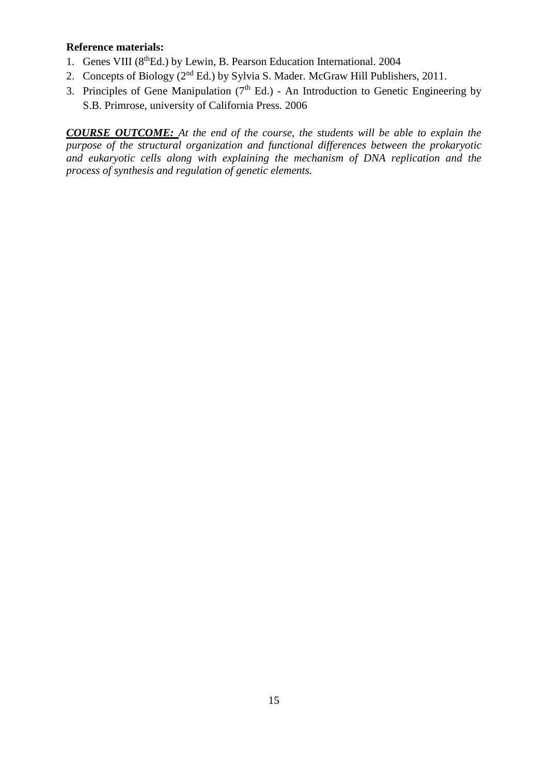### **Reference materials:**

- 1. Genes VIII (8<sup>th</sup>Ed.) by Lewin, B. Pearson Education International. 2004
- 2. Concepts of Biology ( $2<sup>nd</sup> Ed$ .) by Sylvia S. Mader. McGraw Hill Publishers, 2011.
- 3. Principles of Gene Manipulation  $(7<sup>th</sup> Ed.)$  An Introduction to Genetic Engineering by S.B. Primrose, university of California Press. 2006

*COURSE OUTCOME: At the end of the course, the students will be able to explain the purpose of the structural organization and functional differences between the prokaryotic and eukaryotic cells along with explaining the mechanism of DNA replication and the process of synthesis and regulation of genetic elements.*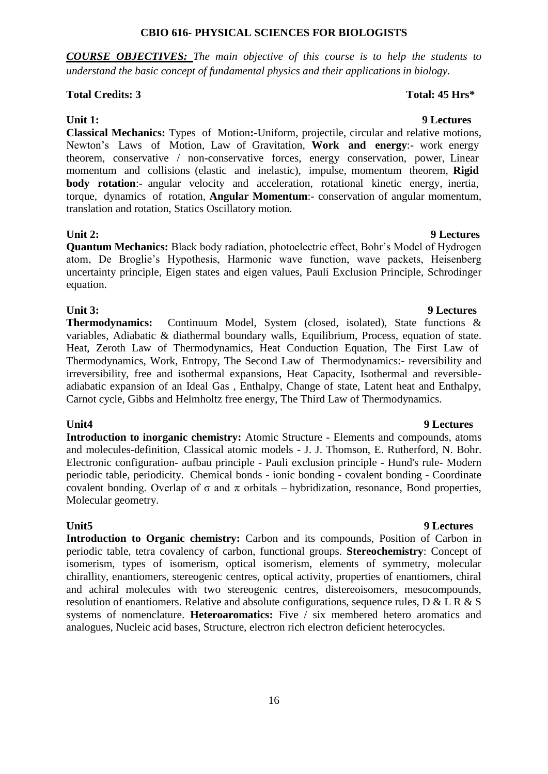#### **CBIO 616- PHYSICAL SCIENCES FOR BIOLOGISTS**

*COURSE OBJECTIVES: The main objective of this course is to help the students to understand the basic concept of fundamental physics and their applications in biology.*

#### **Total Credits: 3** Total: 45 Hrs\*

#### **Unit 1: 9 Lectures**

**Classical Mechanics:** Types of Motion**:-**Uniform, projectile, circular and relative motions, Newton's Laws of Motion, Law of Gravitation, **Work and energy**:- work energy theorem, conservative / non-conservative forces, energy conservation, power, Linear momentum and collisions (elastic and inelastic), impulse, momentum theorem, **Rigid body rotation**:- angular velocity and acceleration, rotational kinetic energy, inertia, torque, dynamics of rotation, **Angular Momentum**:- conservation of angular momentum, translation and rotation, Statics Oscillatory motion.

**Quantum Mechanics:** Black body radiation, photoelectric effect, Bohr's Model of Hydrogen atom, De Broglie's Hypothesis, Harmonic wave function, wave packets, Heisenberg uncertainty principle, Eigen states and eigen values, Pauli Exclusion Principle, Schrodinger equation.

**Thermodynamics:** Continuum Model, System (closed, isolated), State functions & variables, Adiabatic & diathermal boundary walls, Equilibrium, Process, equation of state. Heat, Zeroth Law of Thermodynamics, Heat Conduction Equation, The First Law of Thermodynamics, Work, Entropy, The Second Law of Thermodynamics:- reversibility and irreversibility, free and isothermal expansions, Heat Capacity, Isothermal and reversibleadiabatic expansion of an Ideal Gas , Enthalpy, Change of state, Latent heat and Enthalpy, Carnot cycle, Gibbs and Helmholtz free energy, The Third Law of Thermodynamics.

**Introduction to inorganic chemistry:** Atomic Structure - Elements and compounds, atoms and molecules-definition, Classical atomic models - J. J. Thomson, E. Rutherford, N. Bohr. Electronic configuration- aufbau principle - Pauli exclusion principle - Hund's rule- Modern periodic table, periodicity. Chemical bonds - ionic bonding - covalent bonding - Coordinate covalent bonding. Overlap of  $\sigma$  and  $\pi$  orbitals – hybridization, resonance, Bond properties, Molecular geometry.

**Unit5 9 Lectures Introduction to Organic chemistry:** Carbon and its compounds, Position of Carbon in periodic table, tetra covalency of carbon, functional groups. **Stereochemistry**: Concept of isomerism, types of isomerism, optical isomerism, elements of symmetry, molecular chirallity, enantiomers, stereogenic centres, optical activity, properties of enantiomers, chiral and achiral molecules with two stereogenic centres, distereoisomers, mesocompounds, resolution of enantiomers. Relative and absolute configurations, sequence rules, D & L R & S systems of nomenclature. **Heteroaromatics:** Five / six membered hetero aromatics and analogues, Nucleic acid bases, Structure, electron rich electron deficient heterocycles.

#### 16

### **Unit4 9 Lectures**

### **Unit 2: 9 Lectures**

### **Unit 3: 9 Lectures**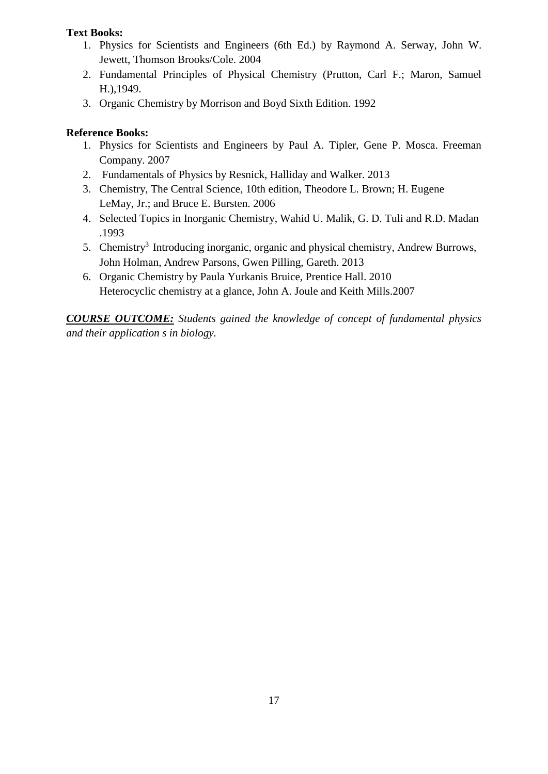### **Text Books:**

- 1. Physics for Scientists and Engineers (6th Ed.) by Raymond A. Serway, John W. Jewett, Thomson Brooks/Cole. 2004
- 2. Fundamental Principles of Physical Chemistry (Prutton, Carl F.; Maron, Samuel H.),1949.
- 3. Organic Chemistry by Morrison and Boyd Sixth Edition. 1992

#### **Reference Books:**

- 1. Physics for Scientists and Engineers by Paul A. Tipler, Gene P. Mosca. Freeman Company. 2007
- 2. Fundamentals of Physics by Resnick, Halliday and Walker. 2013
- 3. Chemistry, The Central Science, 10th edition, Theodore L. Brown; H. Eugene LeMay, Jr.; and Bruce E. Bursten. 2006
- 4. Selected Topics in Inorganic Chemistry, Wahid U. Malik, G. D. Tuli and R.D. Madan .1993
- 5. Chemistry<sup>3</sup> Introducing inorganic, organic and physical chemistry, Andrew Burrows, John Holman, Andrew Parsons, Gwen Pilling, Gareth. 2013
- 6. Organic Chemistry by Paula Yurkanis Bruice, Prentice Hall. 2010 Heterocyclic chemistry at a glance, John A. Joule and Keith Mills.2007

*COURSE OUTCOME: Students gained the knowledge of concept of fundamental physics and their application s in biology.*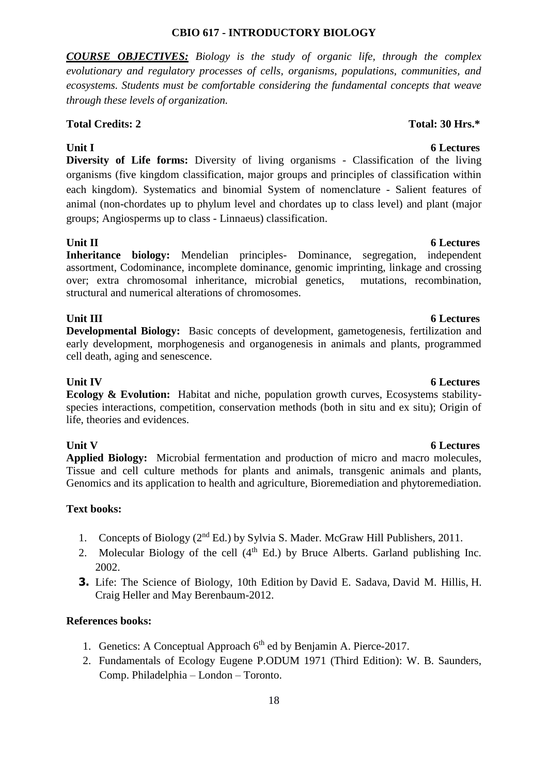### **CBIO 617 - INTRODUCTORY BIOLOGY**

*COURSE OBJECTIVES: Biology is the study of organic life, through the complex evolutionary and regulatory processes of cells, organisms, populations, communities, and ecosystems. Students must be comfortable considering the fundamental concepts that weave through these levels of organization.*

### **Total Credits: 2 Total: 30 Hrs.\***

### **Unit I** 6 Lectures

**Diversity of Life forms:** Diversity of living organisms - Classification of the living organisms (five kingdom classification, major groups and principles of classification within each kingdom). Systematics and binomial System of nomenclature - Salient features of animal (non-chordates up to phylum level and chordates up to class level) and plant (major groups; Angiosperms up to class - Linnaeus) classification.

**Unit II 6 Lectures Inheritance biology:** Mendelian principles- Dominance, segregation, independent assortment, Codominance, incomplete dominance, genomic imprinting, linkage and crossing over; extra chromosomal inheritance, microbial genetics, mutations, recombination, structural and numerical alterations of chromosomes.

### **Unit III 6** Lectures

**Developmental Biology:** Basic concepts of development, gametogenesis, fertilization and early development, morphogenesis and organogenesis in animals and plants, programmed cell death, aging and senescence.

**Ecology & Evolution:** Habitat and niche, population growth curves, Ecosystems stabilityspecies interactions, competition, conservation methods (both in situ and ex situ); Origin of life, theories and evidences.

**Applied Biology:** Microbial fermentation and production of micro and macro molecules, Tissue and cell culture methods for plants and animals, transgenic animals and plants, Genomics and its application to health and agriculture, Bioremediation and phytoremediation.

### **Text books:**

- 1. Concepts of Biology (2nd Ed.) by Sylvia S. Mader. McGraw Hill Publishers, 2011.
- 2. Molecular Biology of the cell  $(4<sup>th</sup> Ed.)$  by Bruce Alberts. Garland publishing Inc. 2002.
- **3.** Life: The Science of Biology, 10th Edition by David E. Sadava, David M. Hillis, H. Craig Heller and May Berenbaum-2012.

#### **References books:**

- 1. Genetics: A Conceptual Approach  $6<sup>th</sup>$  ed by Benjamin A. Pierce-2017.
- 2. Fundamentals of Ecology Eugene P.ODUM 1971 (Third Edition): W. B. Saunders, Comp. Philadelphia – London – Toronto.

### **Unit IV 6 Lectures**

### **Unit V 6 Lectures**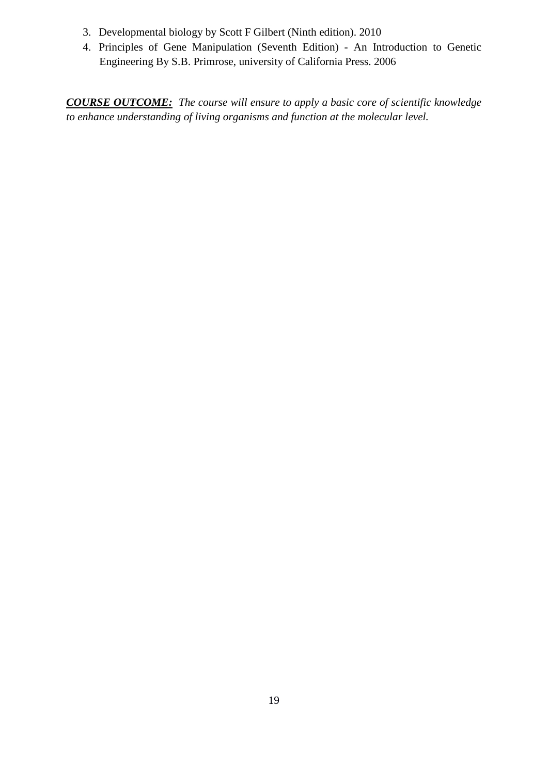- 3. Developmental biology by Scott F Gilbert (Ninth edition). 2010
- 4. Principles of Gene Manipulation (Seventh Edition) An Introduction to Genetic Engineering By S.B. Primrose, university of California Press. 2006

*COURSE OUTCOME: The course will ensure to apply a basic core of scientific knowledge to enhance understanding of living organisms and function at the molecular level.*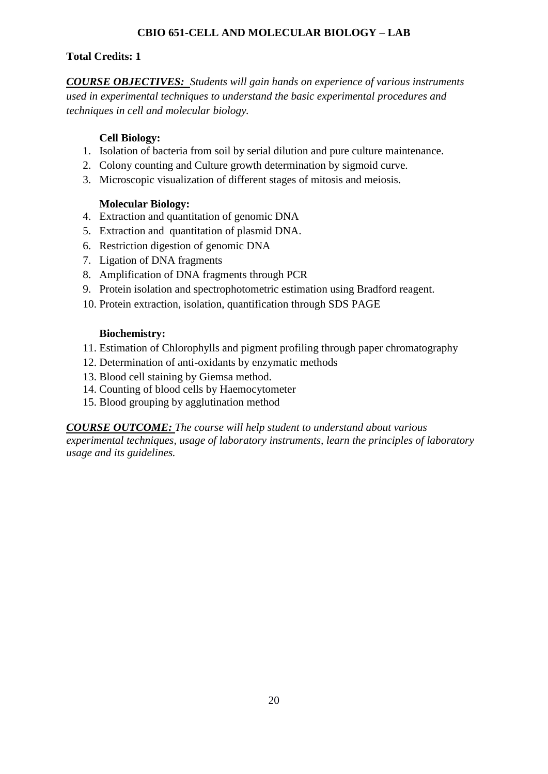### **CBIO 651-CELL AND MOLECULAR BIOLOGY – LAB**

### **Total Credits: 1**

*COURSE OBJECTIVES: Students will gain hands on experience of various instruments used in experimental techniques to understand the basic experimental procedures and techniques in cell and molecular biology.*

#### **Cell Biology:**

- 1. Isolation of bacteria from soil by serial dilution and pure culture maintenance.
- 2. Colony counting and Culture growth determination by sigmoid curve.
- 3. Microscopic visualization of different stages of mitosis and meiosis.

### **Molecular Biology:**

- 4. Extraction and quantitation of genomic DNA
- 5. Extraction and quantitation of plasmid DNA.
- 6. Restriction digestion of genomic DNA
- 7. Ligation of DNA fragments
- 8. Amplification of DNA fragments through PCR
- 9. Protein isolation and spectrophotometric estimation using Bradford reagent.
- 10. Protein extraction, isolation, quantification through SDS PAGE

#### **Biochemistry:**

- 11. Estimation of Chlorophylls and pigment profiling through paper chromatography
- 12. Determination of anti-oxidants by enzymatic methods
- 13. Blood cell staining by Giemsa method.
- 14. Counting of blood cells by Haemocytometer
- 15. Blood grouping by agglutination method

*COURSE OUTCOME: The course will help student to understand about various experimental techniques, usage of laboratory instruments, learn the principles of laboratory usage and its guidelines.*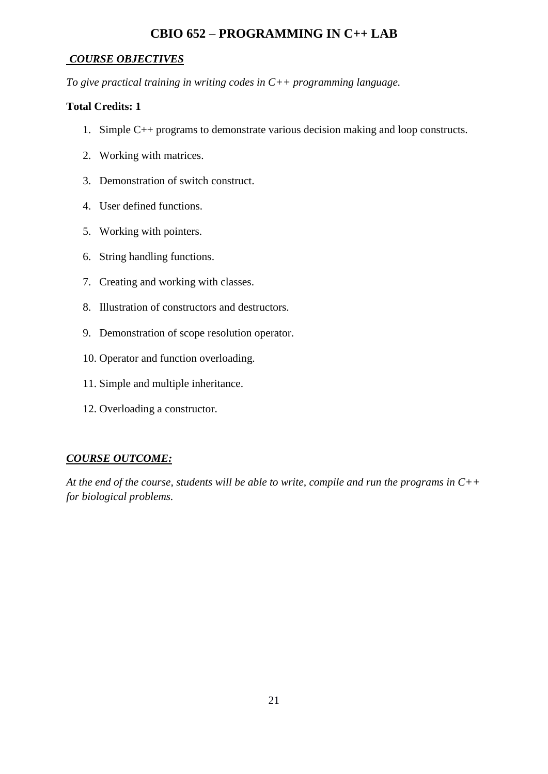### **CBIO 652 – PROGRAMMING IN C++ LAB**

### *COURSE OBJECTIVES*

*To give practical training in writing codes in C++ programming language.*

### **Total Credits: 1**

- 1. Simple C++ programs to demonstrate various decision making and loop constructs.
- 2. Working with matrices.
- 3. Demonstration of switch construct.
- 4. User defined functions.
- 5. Working with pointers.
- 6. String handling functions.
- 7. Creating and working with classes.
- 8. Illustration of constructors and destructors.
- 9. Demonstration of scope resolution operator.
- 10. Operator and function overloading.
- 11. Simple and multiple inheritance.
- 12. Overloading a constructor.

### *COURSE OUTCOME:*

*At the end of the course, students will be able to write, compile and run the programs in C++ for biological problems.*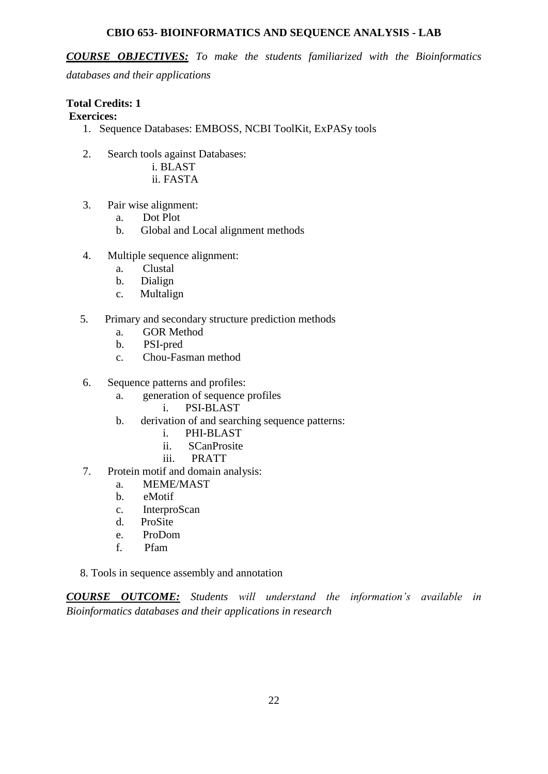#### **CBIO 653- BIOINFORMATICS AND SEQUENCE ANALYSIS - LAB**

*COURSE OBJECTIVES: To make the students familiarized with the Bioinformatics* 

*databases and their applications*

#### **Total Credits: 1 Exercices:**

- 1. Sequence Databases: EMBOSS, NCBI ToolKit, ExPASy tools
- 2. Search tools against Databases:
	- i. BLAST
	- ii. FASTA
- 3. Pair wise alignment:
	- a. Dot Plot
	- b. Global and Local alignment methods
- 4. Multiple sequence alignment:
	- a. Clustal
	- b. Dialign
	- c. Multalign
- 5. Primary and secondary structure prediction methods
	- a. GOR Method
	- b. PSI-pred
	- c. Chou-Fasman method
- 6. Sequence patterns and profiles:
	- a. generation of sequence profiles
		- i. PSI-BLAST
	- b. derivation of and searching sequence patterns:
		- i. PHI-BLAST
		- ii. SCanProsite
		- iii. PRATT
- 7. Protein motif and domain analysis:
	- a. MEME/MAST
	- b. eMotif
	- c. InterproScan
	- d. ProSite
	- e. ProDom
	- f. Pfam

8. Tools in sequence assembly and annotation

*COURSE OUTCOME: Students will understand the information's available in Bioinformatics databases and their applications in research*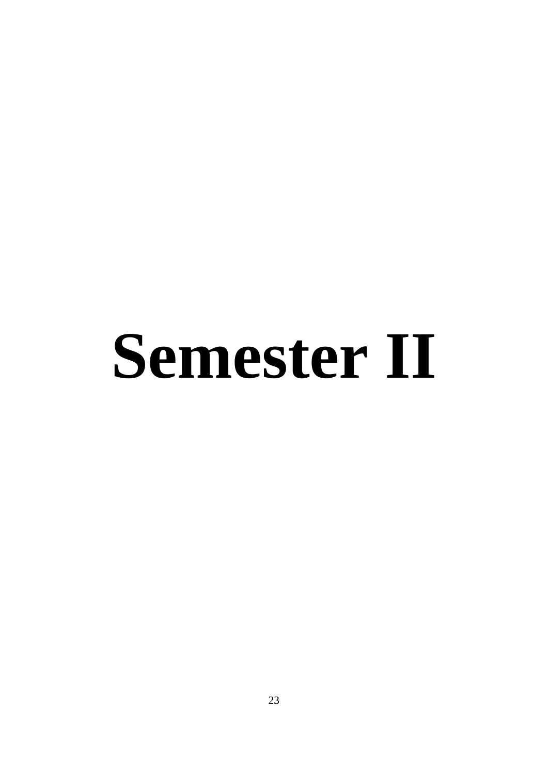# **Semester II**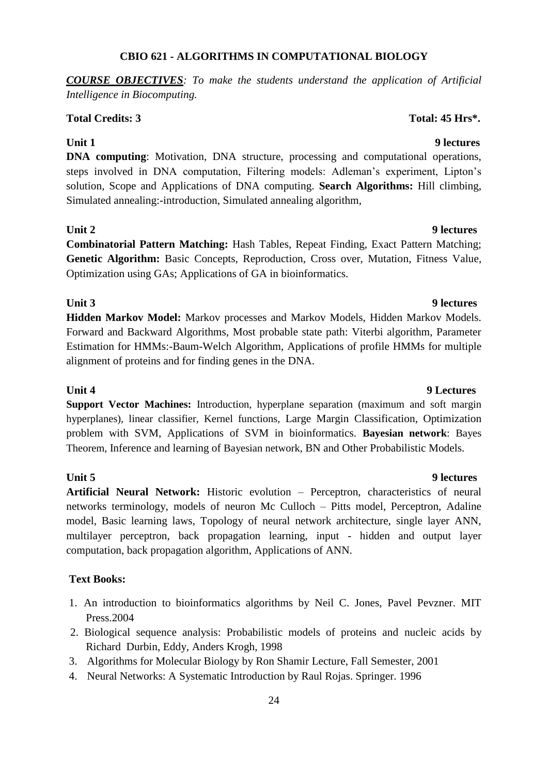Forward and Backward Algorithms, Most probable state path: Viterbi algorithm, Parameter Estimation for HMMs:-Baum-Welch Algorithm, Applications of profile HMMs for multiple alignment of proteins and for finding genes in the DNA.

**Unit 3 9 lectures Hidden Markov Model:** Markov processes and Markov Models, Hidden Markov Models.

#### **Unit 4 9 Lectures**

**Support Vector Machines:** Introduction, hyperplane separation (maximum and soft margin hyperplanes), linear classifier, Kernel functions, Large Margin Classification, Optimization problem with SVM, Applications of SVM in bioinformatics. **Bayesian network**: Bayes Theorem, Inference and learning of Bayesian network, BN and Other Probabilistic Models.

**Artificial Neural Network:** Historic evolution – Perceptron, characteristics of neural networks terminology, models of neuron Mc Culloch – Pitts model, Perceptron, Adaline model, Basic learning laws, Topology of neural network architecture, single layer ANN, multilayer perceptron, back propagation learning, input - hidden and output layer computation, back propagation algorithm, Applications of ANN.

### **Text Books:**

- 1. An introduction to bioinformatics algorithms by Neil C. Jones, Pavel Pevzner. MIT Press.2004
- 2. Biological sequence analysis: Probabilistic models of proteins and nucleic acids by Richard Durbin, Eddy, Anders Krogh, 1998
- 3. Algorithms for Molecular Biology by Ron Shamir Lecture, Fall Semester, 2001
- 4. Neural Networks: A Systematic Introduction by Raul Rojas. Springer. 1996

### **CBIO 621 - ALGORITHMS IN COMPUTATIONAL BIOLOGY**

*COURSE OBJECTIVES: To make the students understand the application of Artificial Intelligence in Biocomputing.*

### **Total Credits: 3 Total: 45 Hrs\*.**

**DNA computing**: Motivation, DNA structure, processing and computational operations, steps involved in DNA computation, Filtering models: Adleman's experiment, Lipton's solution, Scope and Applications of DNA computing. **Search Algorithms:** Hill climbing, Simulated annealing:-introduction, Simulated annealing algorithm,

### **Unit 2 9 lectures**

### **Combinatorial Pattern Matching:** Hash Tables, Repeat Finding, Exact Pattern Matching; **Genetic Algorithm:** Basic Concepts, Reproduction, Cross over, Mutation, Fitness Value, Optimization using GAs; Applications of GA in bioinformatics.

### **Unit 5** 9 lectures

### **Unit 1** 9 lectures

### 24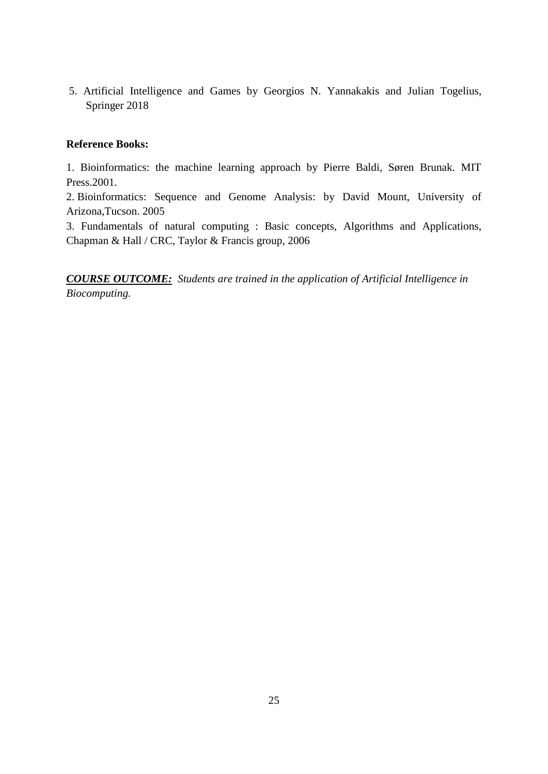5. Artificial Intelligence and Games by Georgios N. Yannakakis and Julian Togelius, Springer 2018

### **Reference Books:**

1. Bioinformatics: the machine learning approach by Pierre Baldi, Søren Brunak. MIT Press.2001.

2. Bioinformatics: Sequence and Genome Analysis: by David Mount, University of Arizona,Tucson. 2005

3. Fundamentals of natural computing : Basic concepts, Algorithms and Applications, Chapman & Hall / CRC, Taylor & Francis group, 2006

*COURSE OUTCOME: Students are trained in the application of Artificial Intelligence in Biocomputing.*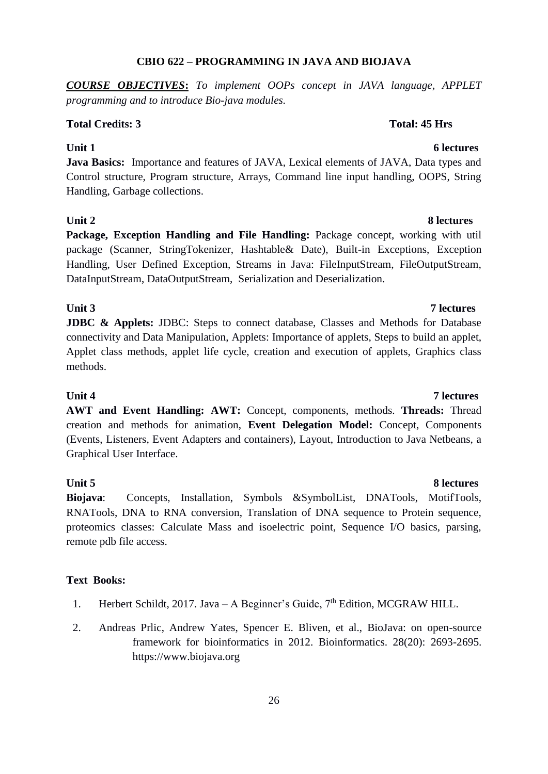### **CBIO 622 – PROGRAMMING IN JAVA AND BIOJAVA**

*COURSE OBJECTIVES***:** *To implement OOPs concept in JAVA language, APPLET programming and to introduce Bio-java modules.*

### **Total Credits: 3 Total: 45 Hrs**

**Unit 1** 6 lectures

**Java Basics:** Importance and features of JAVA, Lexical elements of JAVA, Data types and Control structure, Program structure, Arrays, Command line input handling, OOPS, String Handling, Garbage collections.

**Unit 2** 8 lectures

**Package, Exception Handling and File Handling:** Package concept, working with util package (Scanner, StringTokenizer, Hashtable& Date), Built-in Exceptions, Exception Handling, User Defined Exception, Streams in Java: FileInputStream, FileOutputStream, DataInputStream, DataOutputStream, Serialization and Deserialization.

**Unit 3** 7 lectures **JDBC & Applets:** JDBC: Steps to connect database, Classes and Methods for Database connectivity and Data Manipulation, Applets: Importance of applets, Steps to build an applet, Applet class methods, applet life cycle, creation and execution of applets, Graphics class methods.

### **Unit 4** 7 lectures

**AWT and Event Handling: AWT:** Concept, components, methods. **Threads:** Thread creation and methods for animation, **Event Delegation Model:** Concept, Components (Events, Listeners, Event Adapters and containers), Layout, Introduction to Java Netbeans, a Graphical User Interface.

**Biojava**: Concepts, Installation, Symbols &SymbolList, DNATools, MotifTools, RNATools, DNA to RNA conversion, Translation of DNA sequence to Protein sequence, proteomics classes: Calculate Mass and isoelectric point, Sequence I/O basics, parsing, remote pdb file access.

### **Text Books:**

- 1. Herbert Schildt, 2017. Java A Beginner's Guide,  $7<sup>th</sup>$  Edition, MCGRAW HILL.
- 2. Andreas Prlic, Andrew Yates, Spencer E. Bliven, et al., BioJava: on open-source framework for bioinformatics in 2012. Bioinformatics. 28(20): 2693-2695. https://www.biojava.org

#### **Unit 5** 8 lectures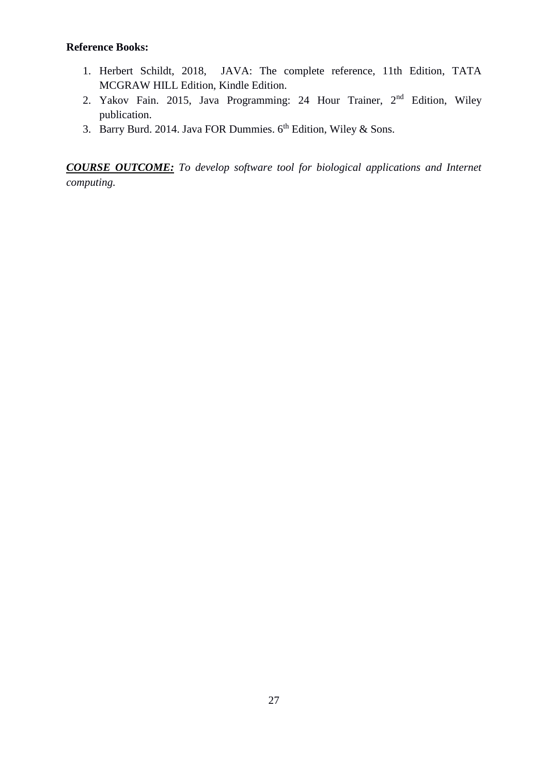### **Reference Books:**

- 1. Herbert Schildt, 2018, JAVA: The complete reference, 11th Edition, TATA MCGRAW HILL Edition, Kindle Edition.
- 2. Yakov Fain. 2015, Java Programming: 24 Hour Trainer, 2nd Edition, Wiley publication.
- 3. Barry Burd. 2014. Java FOR Dummies. 6<sup>th</sup> Edition, Wiley & Sons.

*COURSE OUTCOME: To develop software tool for biological applications and Internet computing.*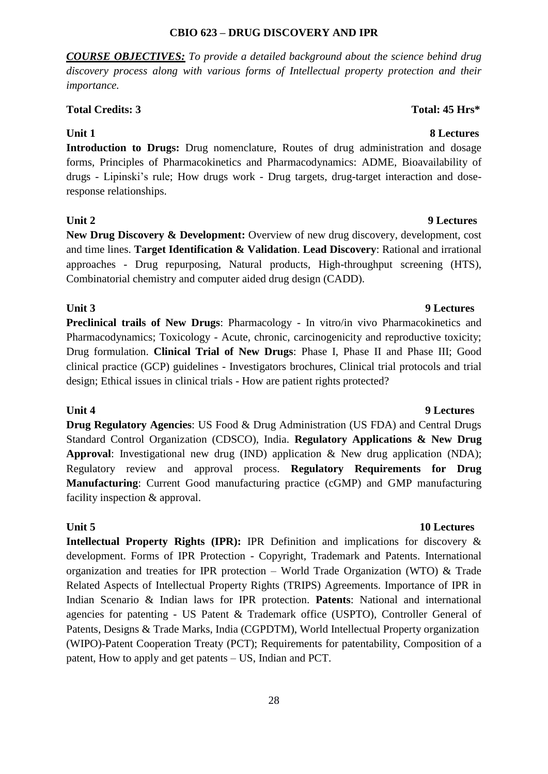#### **CBIO 623 – DRUG DISCOVERY AND IPR**

*COURSE OBJECTIVES: To provide a detailed background about the science behind drug discovery process along with various forms of Intellectual property protection and their importance.*

#### Total Credits: 3 Total: 45 Hrs\*

**Introduction to Drugs:** Drug nomenclature, Routes of drug administration and dosage forms, Principles of Pharmacokinetics and Pharmacodynamics: ADME, Bioavailability of drugs - Lipinski's rule; How drugs work - Drug targets, drug-target interaction and doseresponse relationships.

#### **Unit 2 9 Lectures**

**New Drug Discovery & Development:** Overview of new drug discovery, development, cost and time lines. **Target Identification & Validation**. **Lead Discovery**: Rational and irrational approaches - Drug repurposing, Natural products, High-throughput screening (HTS), Combinatorial chemistry and computer aided drug design (CADD).

#### **Unit 3 9 Lectures**

**Preclinical trails of New Drugs**: Pharmacology - In vitro/in vivo Pharmacokinetics and Pharmacodynamics; Toxicology - Acute, chronic, carcinogenicity and reproductive toxicity; Drug formulation. **Clinical Trial of New Drugs**: Phase I, Phase II and Phase III; Good clinical practice (GCP) guidelines - Investigators brochures, Clinical trial protocols and trial design; Ethical issues in clinical trials - How are patient rights protected?

#### **Unit 4** 9 Lectures

**Drug Regulatory Agencies**: US Food & Drug Administration (US FDA) and Central Drugs Standard Control Organization (CDSCO), India. **Regulatory Applications & New Drug Approval**: Investigational new drug (IND) application & New drug application (NDA); Regulatory review and approval process. **Regulatory Requirements for Drug Manufacturing**: Current Good manufacturing practice (cGMP) and GMP manufacturing facility inspection & approval.

**Intellectual Property Rights (IPR):** IPR Definition and implications for discovery & development. Forms of IPR Protection - Copyright, Trademark and Patents. International organization and treaties for IPR protection – World Trade Organization (WTO) & Trade Related Aspects of Intellectual Property Rights (TRIPS) Agreements. Importance of IPR in Indian Scenario & Indian laws for IPR protection. **Patents**: National and international agencies for patenting - US Patent & Trademark office (USPTO), Controller General of Patents, Designs & Trade Marks, India (CGPDTM), World Intellectual Property organization (WIPO)-Patent Cooperation Treaty (PCT); Requirements for patentability, Composition of a patent, How to apply and get patents – US, Indian and PCT.

### **Unit 5** 10 Lectures

### **Unit 1** 8 Lectures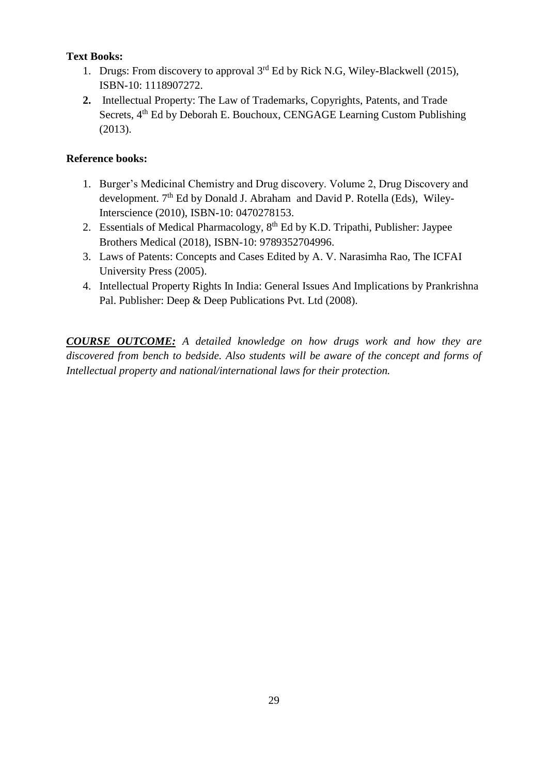### **Text Books:**

- 1. Drugs: From discovery to approval 3rd Ed by Rick N.G, Wiley-Blackwell (2015), ISBN-10: 1118907272.
- **2.** Intellectual Property: The Law of Trademarks, Copyrights, Patents, and Trade Secrets,  $4<sup>th</sup>$  Ed by Deborah E. Bouchoux, CENGAGE Learning Custom Publishing (2013).

### **Reference books:**

- 1. Burger's Medicinal Chemistry and Drug discovery. Volume 2, Drug Discovery and development.  $7<sup>th</sup>$  Ed by Donald J. Abraham and David P. Rotella (Eds), Wiley-Interscience (2010), ISBN-10: 0470278153.
- 2. Essentials of Medical Pharmacology, 8<sup>th</sup> Ed by K.D. Tripathi, Publisher: Jaypee Brothers Medical (2018), ISBN-10: 9789352704996.
- 3. Laws of Patents: Concepts and Cases Edited by A. V. Narasimha Rao, The ICFAI University Press (2005).
- 4. Intellectual Property Rights In India: General Issues And Implications by Prankrishna Pal. Publisher: Deep & Deep Publications Pvt. Ltd (2008).

*COURSE OUTCOME: A detailed knowledge on how drugs work and how they are discovered from bench to bedside. Also students will be aware of the concept and forms of Intellectual property and national/international laws for their protection.*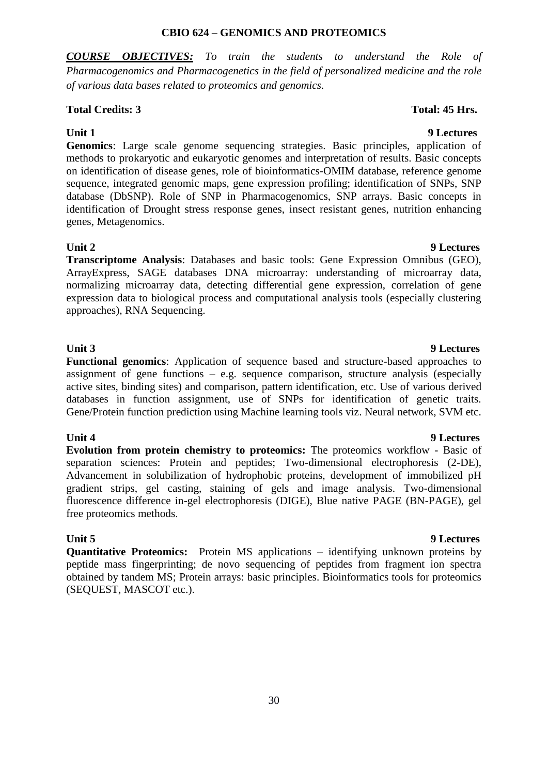#### **CBIO 624 – GENOMICS AND PROTEOMICS**

*COURSE OBJECTIVES: To train the students to understand the Role of Pharmacogenomics and Pharmacogenetics in the field of personalized medicine and the role of various data bases related to proteomics and genomics.*

#### **Total Credits: 3 Total: 45 Hrs.**

**Unit 1 9 Lectures Genomics**: Large scale genome sequencing strategies. Basic principles, application of methods to prokaryotic and eukaryotic genomes and interpretation of results. Basic concepts on identification of disease genes, role of bioinformatics-OMIM database, reference genome sequence, integrated genomic maps, gene expression profiling; identification of SNPs, SNP database (DbSNP). Role of SNP in Pharmacogenomics, SNP arrays. Basic concepts in identification of Drought stress response genes, insect resistant genes, nutrition enhancing genes, Metagenomics.

#### **Unit 2 9 Lectures**

**Transcriptome Analysis**: Databases and basic tools: Gene Expression Omnibus (GEO), ArrayExpress, SAGE databases DNA microarray: understanding of microarray data, normalizing microarray data, detecting differential gene expression, correlation of gene expression data to biological process and computational analysis tools (especially clustering approaches), RNA Sequencing.

#### **Unit 3 9 Lectures**

**Functional genomics**: Application of sequence based and structure-based approaches to assignment of gene functions  $-$  e.g. sequence comparison, structure analysis (especially active sites, binding sites) and comparison, pattern identification, etc. Use of various derived databases in function assignment, use of SNPs for identification of genetic traits. Gene/Protein function prediction using Machine learning tools viz. Neural network, SVM etc.

**Evolution from protein chemistry to proteomics:** The proteomics workflow - Basic of separation sciences: Protein and peptides; Two-dimensional electrophoresis (2-DE), Advancement in solubilization of hydrophobic proteins, development of immobilized pH gradient strips, gel casting, staining of gels and image analysis. Two-dimensional fluorescence difference in-gel electrophoresis (DIGE), Blue native PAGE (BN-PAGE), gel free proteomics methods.

**Quantitative Proteomics:** Protein MS applications – identifying unknown proteins by peptide mass fingerprinting; de novo sequencing of peptides from fragment ion spectra obtained by tandem MS; Protein arrays: basic principles. Bioinformatics tools for proteomics (SEQUEST, MASCOT etc.).

### **Unit 5 9 Lectures**

## **Unit 4 9 Lectures**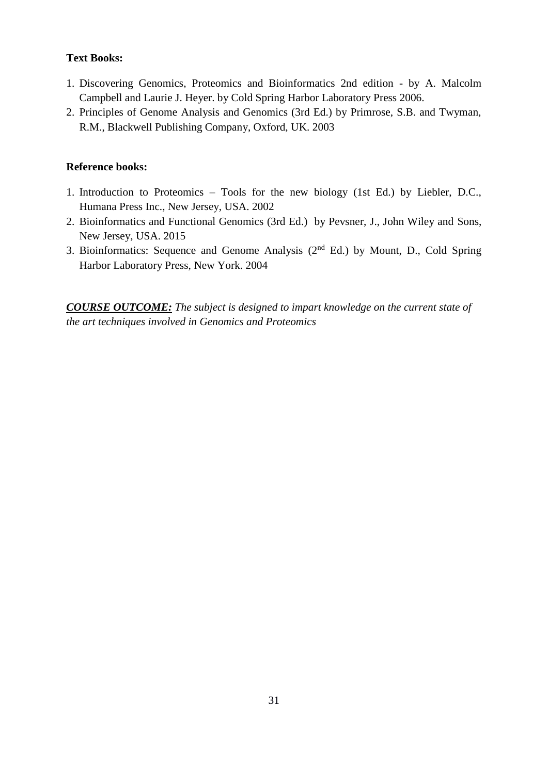### **Text Books:**

- 1. Discovering Genomics, Proteomics and Bioinformatics 2nd edition by A. Malcolm Campbell and Laurie J. Heyer. by Cold Spring Harbor Laboratory Press 2006.
- 2. Principles of Genome Analysis and Genomics (3rd Ed.) by Primrose, S.B. and Twyman, R.M., Blackwell Publishing Company, Oxford, UK. 2003

#### **Reference books:**

- 1. Introduction to Proteomics Tools for the new biology (1st Ed.) by Liebler, D.C., Humana Press Inc., New Jersey, USA. 2002
- 2. Bioinformatics and Functional Genomics (3rd Ed.) by Pevsner, J., John Wiley and Sons, New Jersey, USA. 2015
- 3. Bioinformatics: Sequence and Genome Analysis  $(2<sup>nd</sup> Ed.)$  by Mount, D., Cold Spring Harbor Laboratory Press, New York. 2004

*COURSE OUTCOME: The subject is designed to impart knowledge on the current state of the art techniques involved in Genomics and Proteomics*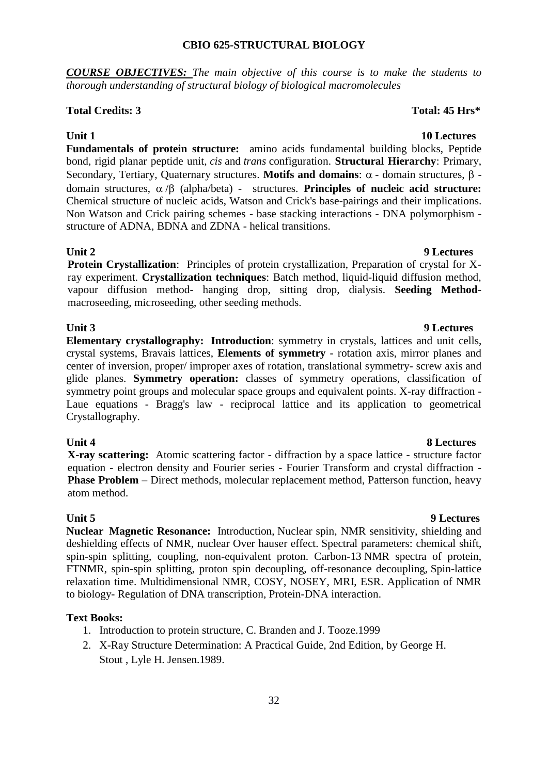#### **CBIO 625-STRUCTURAL BIOLOGY**

*COURSE OBJECTIVES: The main objective of this course is to make the students to thorough understanding of structural biology of biological macromolecules*

#### **Total Credits: 3 Total: 45 Hrs\***

**Fundamentals of protein structure:** amino acids fundamental building blocks, Peptide bond, rigid planar peptide unit, *cis* and *trans* configuration. **Structural Hierarchy**: Primary, Secondary, Tertiary, Quaternary structures. Motifs and domains:  $\alpha$  - domain structures,  $\beta$  domain structures,  $\alpha/\beta$  (alpha/beta) - structures. **Principles of nucleic acid structure:** Chemical structure of nucleic acids, Watson and Crick's base-pairings and their implications. Non Watson and Crick pairing schemes - base stacking interactions - DNA polymorphism structure of ADNA, BDNA and ZDNA - helical transitions.

#### **Unit 2 9 Lectures**

**Protein Crystallization**: Principles of protein crystallization, Preparation of crystal for Xray experiment. **Crystallization techniques**: Batch method, liquid-liquid diffusion method, vapour diffusion method- hanging drop, sitting drop, dialysis. **Seeding Method**macroseeding, microseeding, other seeding methods.

#### **Unit 3 9 Lectures**

**Elementary crystallography: Introduction**: symmetry in crystals, lattices and unit cells, crystal systems, Bravais lattices, **Elements of symmetry** - rotation axis, mirror planes and center of inversion, proper/ improper axes of rotation, translational symmetry- screw axis and glide planes. **Symmetry operation:** classes of symmetry operations, classification of symmetry point groups and molecular space groups and equivalent points. X-ray diffraction - Laue equations - Bragg's law - reciprocal lattice and its application to geometrical Crystallography.

**X-ray scattering:** Atomic scattering factor - diffraction by a space lattice - structure factor equation - electron density and Fourier series - Fourier Transform and crystal diffraction - **Phase Problem** – Direct methods, molecular replacement method, Patterson function, heavy atom method.

**Nuclear Magnetic Resonance:** Introduction, Nuclear spin, NMR sensitivity, shielding and deshielding effects of NMR, nuclear Over hauser effect. Spectral parameters: chemical shift, spin-spin splitting, coupling, non-equivalent proton. Carbon-13 NMR spectra of protein, FTNMR, spin-spin splitting, proton spin decoupling, off-resonance decoupling, Spin-lattice relaxation time. Multidimensional NMR, COSY, NOSEY, MRI, ESR. Application of NMR to biology- Regulation of DNA transcription, Protein-DNA interaction.

#### **Text Books:**

- 1. Introduction to protein structure, C. Branden and J. Tooze.1999
- 2. X-Ray Structure Determination: A Practical Guide, 2nd Edition, by George H. Stout , Lyle H. Jensen.1989.

### **Unit 4 8 Lectures**

### **Unit 5 9 Lectures**

### **Unit 1 10 Lectures**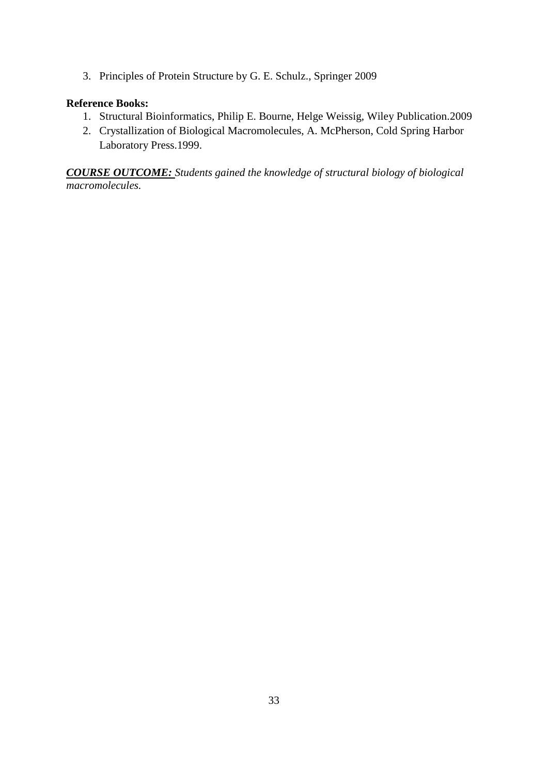3. Principles of Protein Structure by G. E. Schulz., Springer 2009

### **Reference Books:**

- 1. Structural Bioinformatics, Philip E. Bourne, Helge Weissig, Wiley Publication.2009
- 2. Crystallization of Biological Macromolecules, A. McPherson, Cold Spring Harbor Laboratory Press.1999.

*COURSE OUTCOME: Students gained the knowledge of structural biology of biological macromolecules.*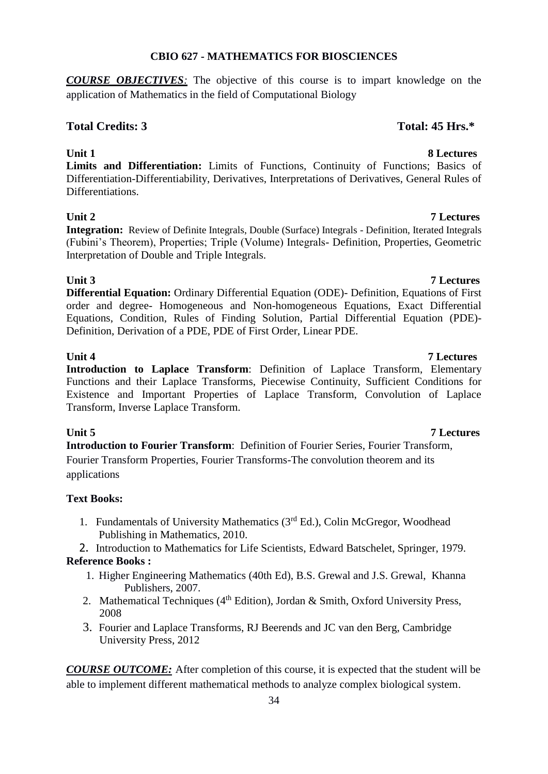### **CBIO 627 - MATHEMATICS FOR BIOSCIENCES**

*COURSE OBJECTIVES:* The objective of this course is to impart knowledge on the application of Mathematics in the field of Computational Biology

### Total Credits: 3 Total: 45 Hrs.\*

**Unit 1** 8 Lectures **Limits and Differentiation:** Limits of Functions, Continuity of Functions; Basics of Differentiation-Differentiability, Derivatives, Interpretations of Derivatives, General Rules of Differentiations.

### **Unit 2** 7 Lectures

**Integration:** Review of Definite Integrals, Double (Surface) Integrals - Definition, Iterated Integrals (Fubini's Theorem), Properties; Triple (Volume) Integrals- Definition, Properties, Geometric Interpretation of Double and Triple Integrals.

**Unit 3 7 Lectures Differential Equation:** Ordinary Differential Equation (ODE)- Definition, Equations of First order and degree- Homogeneous and Non-homogeneous Equations, Exact Differential Equations, Condition, Rules of Finding Solution, Partial Differential Equation (PDE)- Definition, Derivation of a PDE, PDE of First Order, Linear PDE.

**Introduction to Laplace Transform**: Definition of Laplace Transform, Elementary Functions and their Laplace Transforms, Piecewise Continuity, Sufficient Conditions for Existence and Important Properties of Laplace Transform, Convolution of Laplace Transform, Inverse Laplace Transform.

### **Unit 5 7 Lectures**

**Introduction to Fourier Transform**: Definition of Fourier Series, Fourier Transform, Fourier Transform Properties, Fourier Transforms-The convolution theorem and its applications

### **Text Books:**

1. Fundamentals of University Mathematics (3<sup>rd</sup> Ed.), Colin McGregor, Woodhead Publishing in Mathematics, 2010.

2. Introduction to Mathematics for Life Scientists, Edward Batschelet, Springer, 1979. **Reference Books :**

- 1. Higher Engineering Mathematics (40th Ed), B.S. Grewal and J.S. Grewal, Khanna Publishers, 2007.
- 2. Mathematical Techniques ( $4<sup>th</sup>$  Edition), Jordan & Smith, Oxford University Press, 2008
- 3. Fourier and Laplace Transforms, RJ Beerends and JC van den Berg, Cambridge University Press, 2012

*COURSE OUTCOME:* After completion of this course, it is expected that the student will be able to implement different mathematical methods to analyze complex biological system.

### **Unit 4 7 Lectures**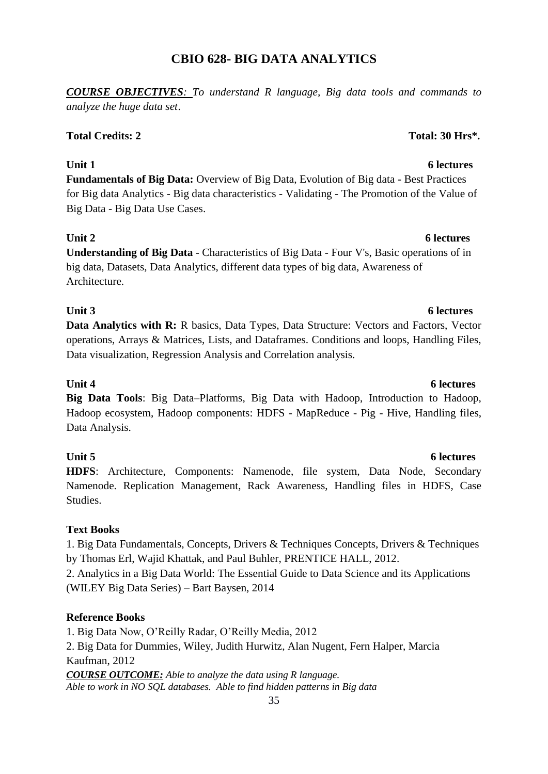### **CBIO 628- BIG DATA ANALYTICS**

*COURSE OBJECTIVES: To understand R language, Big data tools and commands to analyze the huge data set*.

### **Total Credits: 2 Total: 30 Hrs\*.**

**Fundamentals of Big Data:** Overview of Big Data, Evolution of Big data - Best Practices for Big data Analytics - Big data characteristics - Validating - The Promotion of the Value of Big Data - Big Data Use Cases.

**Understanding of Big Data** - Characteristics of Big Data - Four V's, Basic operations of in big data, Datasets, Data Analytics, different data types of big data, Awareness of Architecture.

### **Unit 3** 6 lectures

Data Analytics with R: R basics, Data Types, Data Structure: Vectors and Factors, Vector operations, Arrays & Matrices, Lists, and Dataframes. Conditions and loops, Handling Files, Data visualization, Regression Analysis and Correlation analysis.

### **Unit 4 6 lectures**

**Big Data Tools**: Big Data–Platforms, Big Data with Hadoop, Introduction to Hadoop, Hadoop ecosystem, Hadoop components: HDFS - MapReduce - Pig - Hive, Handling files, Data Analysis.

**HDFS**: Architecture, Components: Namenode, file system, Data Node, Secondary Namenode. Replication Management, Rack Awareness, Handling files in HDFS, Case Studies.

### **Text Books**

1. Big Data Fundamentals, Concepts, Drivers & Techniques Concepts, Drivers & Techniques by Thomas Erl, Wajid Khattak, and Paul Buhler, PRENTICE HALL, 2012.

2. Analytics in a Big Data World: The Essential Guide to Data Science and its Applications (WILEY Big Data Series) – Bart Baysen, 2014

### **Reference Books**

1. Big Data Now, O'Reilly Radar, O'Reilly Media, 2012 2. Big Data for Dummies, Wiley, Judith Hurwitz, Alan Nugent, Fern Halper, Marcia Kaufman, 2012 *COURSE OUTCOME: Able to analyze the data using R language. Able to work in NO SQL databases. Able to find hidden patterns in Big data*

### **Unit 1** 6 **lectures**

### **Unit 5 6 lectures**

### **Unit 2** 6 lectures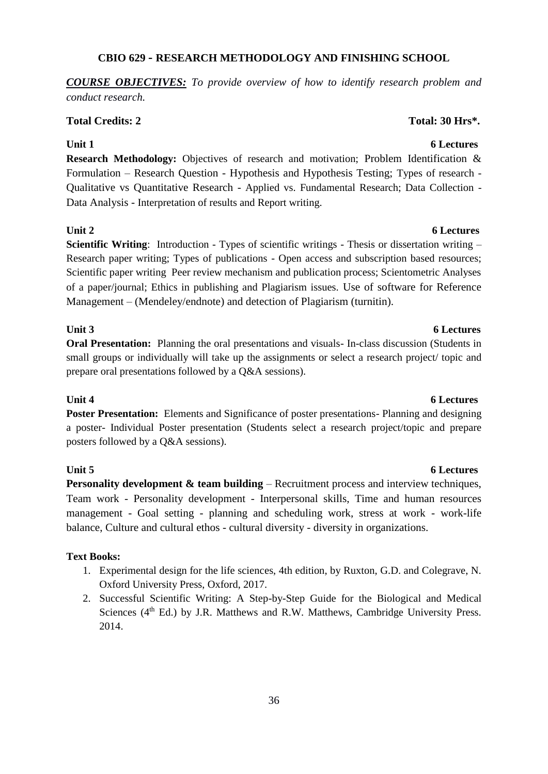### **CBIO 629 - RESEARCH METHODOLOGY AND FINISHING SCHOOL**

*COURSE OBJECTIVES: To provide overview of how to identify research problem and conduct research.*

#### **Total Credits: 2 Total: 30 Hrs\*.**

**Research Methodology:** Objectives of research and motivation; Problem Identification & Formulation – Research Question - Hypothesis and Hypothesis Testing; Types of research - Qualitative vs Quantitative Research - Applied vs. Fundamental Research; Data Collection - Data Analysis - Interpretation of results and Report writing.

#### **Unit 2** 6 Lectures

**Scientific Writing**: Introduction - Types of scientific writings - Thesis or dissertation writing – Research paper writing; Types of publications - Open access and subscription based resources; Scientific paper writing Peer review mechanism and publication process; Scientometric Analyses of a paper/journal; Ethics in publishing and Plagiarism issues. Use of software for Reference Management – (Mendeley/endnote) and detection of Plagiarism (turnitin).

**Oral Presentation:** Planning the oral presentations and visuals- In-class discussion (Students in small groups or individually will take up the assignments or select a research project/ topic and prepare oral presentations followed by a Q&A sessions).

#### **Unit 4 6 Lectures**

**Poster Presentation:** Elements and Significance of poster presentations- Planning and designing a poster- Individual Poster presentation (Students select a research project/topic and prepare posters followed by a Q&A sessions).

**Personality development & team building** – Recruitment process and interview techniques, Team work - Personality development - Interpersonal skills, Time and human resources management - Goal setting - planning and scheduling work, stress at work - work-life balance, Culture and cultural ethos - cultural diversity - diversity in organizations.

#### **Text Books:**

- 1. Experimental design for the life sciences, 4th edition, by Ruxton, G.D. and Colegrave, N. Oxford University Press, Oxford, 2017.
- 2. Successful Scientific Writing: A Step-by-Step Guide for the Biological and Medical Sciences (4<sup>th</sup> Ed.) by J.R. Matthews and R.W. Matthews, Cambridge University Press. 2014.

#### **Unit 1** 6 Lectures

### **Unit 3** 6 Lectures

### **Unit 5** 6 Lectures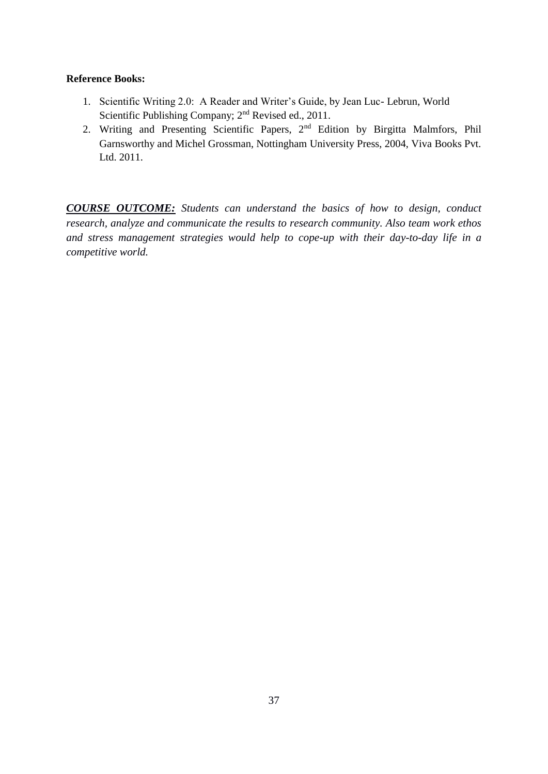#### **Reference Books:**

- 1. Scientific Writing 2.0: A Reader and Writer's Guide, by Jean Luc- Lebrun, World Scientific Publishing Company; 2<sup>nd</sup> Revised ed., 2011.
- 2. Writing and Presenting Scientific Papers, 2nd Edition by Birgitta Malmfors, Phil Garnsworthy and Michel Grossman, Nottingham University Press, 2004, Viva Books Pvt. Ltd. 2011.

*COURSE OUTCOME: Students can understand the basics of how to design, conduct research, analyze and communicate the results to research community. Also team work ethos and stress management strategies would help to cope-up with their day-to-day life in a competitive world.*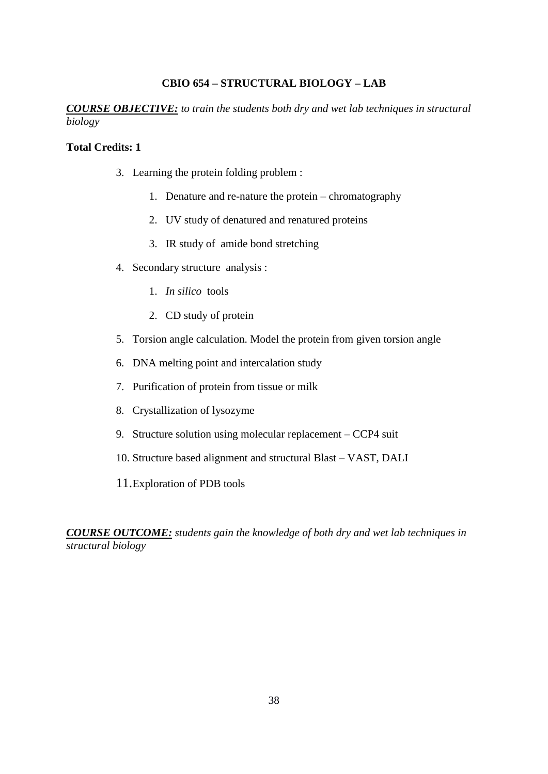#### **CBIO 654 – STRUCTURAL BIOLOGY – LAB**

*COURSE OBJECTIVE: to train the students both dry and wet lab techniques in structural biology*

#### **Total Credits: 1**

- 3. Learning the protein folding problem :
	- 1. Denature and re-nature the protein chromatography
	- 2. UV study of denatured and renatured proteins
	- 3. IR study of amide bond stretching
- 4. Secondary structure analysis :
	- 1. *In silico* tools
	- 2. CD study of protein
- 5. Torsion angle calculation. Model the protein from given torsion angle
- 6. DNA melting point and intercalation study
- 7. Purification of protein from tissue or milk
- 8. Crystallization of lysozyme
- 9. Structure solution using molecular replacement CCP4 suit
- 10. Structure based alignment and structural Blast VAST, DALI
- 11.Exploration of PDB tools

*COURSE OUTCOME: students gain the knowledge of both dry and wet lab techniques in structural biology*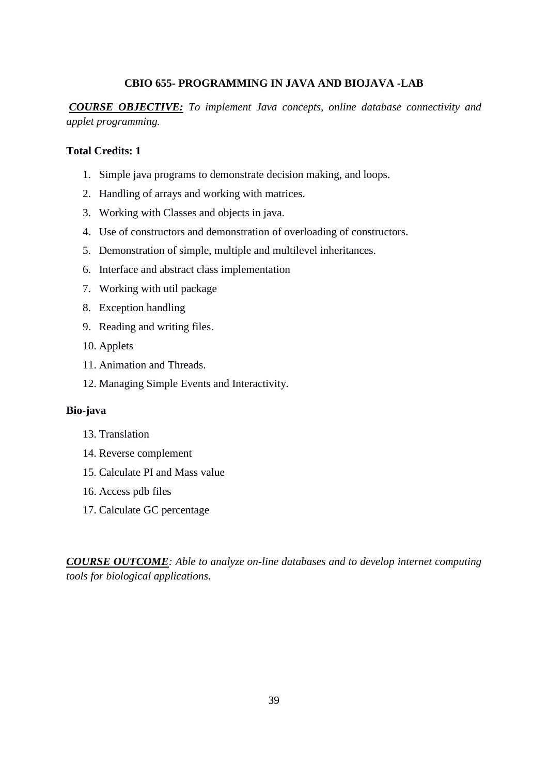#### **CBIO 655- PROGRAMMING IN JAVA AND BIOJAVA -LAB**

*COURSE OBJECTIVE: To implement Java concepts, online database connectivity and applet programming.*

#### **Total Credits: 1**

- 1. Simple java programs to demonstrate decision making, and loops.
- 2. Handling of arrays and working with matrices.
- 3. Working with Classes and objects in java.
- 4. Use of constructors and demonstration of overloading of constructors.
- 5. Demonstration of simple, multiple and multilevel inheritances.
- 6. Interface and abstract class implementation
- 7. Working with util package
- 8. Exception handling
- 9. Reading and writing files.
- 10. Applets
- 11. Animation and Threads.
- 12. Managing Simple Events and Interactivity.

#### **Bio-java**

- 13. Translation
- 14. Reverse complement
- 15. Calculate PI and Mass value
- 16. Access pdb files
- 17. Calculate GC percentage

*COURSE OUTCOME: Able to analyze on-line databases and to develop internet computing tools for biological applications.*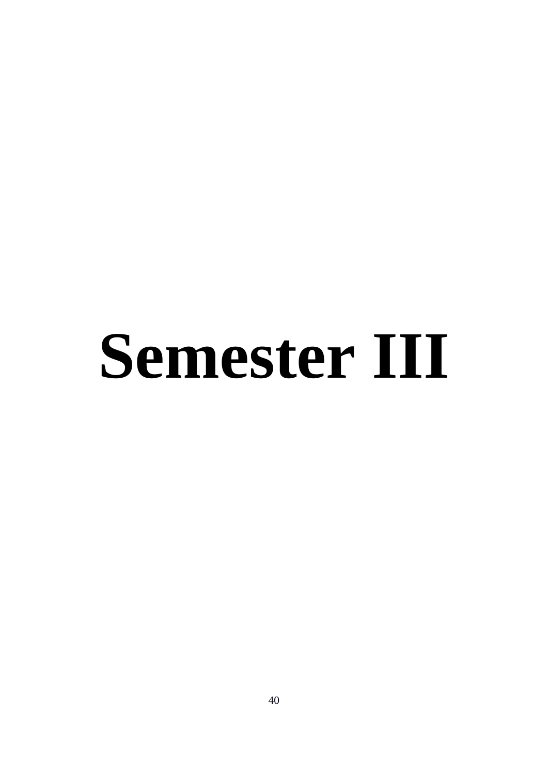# **Semester III**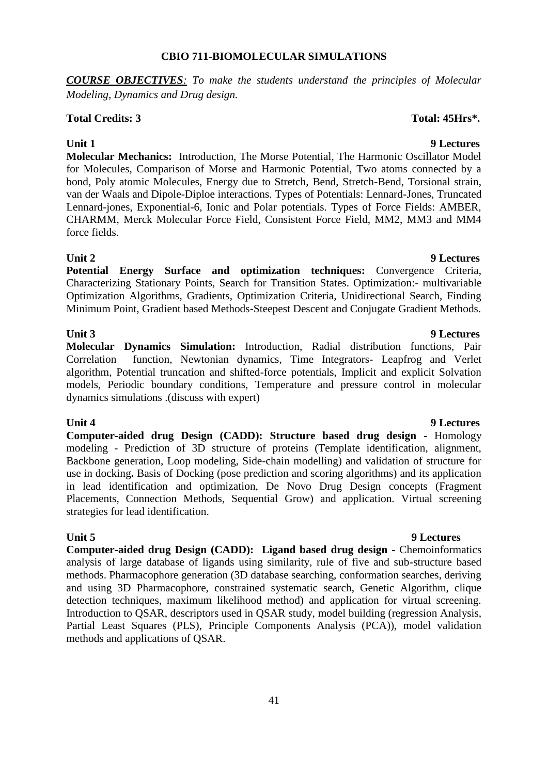#### 41

### **CBIO 711-BIOMOLECULAR SIMULATIONS**

*COURSE OBJECTIVES: To make the students understand the principles of Molecular Modeling, Dynamics and Drug design.*

### **Total Credits: 3 Total: 45Hrs\*.**

### **Unit 1** 9 Lectures

**Molecular Mechanics:** Introduction, The Morse Potential, The Harmonic Oscillator Model for Molecules, Comparison of Morse and Harmonic Potential, Two atoms connected by a bond, Poly atomic Molecules, Energy due to Stretch, Bend, Stretch-Bend, Torsional strain, van der Waals and Dipole-Diploe interactions. Types of Potentials: Lennard-Jones, Truncated Lennard-jones, Exponential-6, Ionic and Polar potentials. Types of Force Fields: AMBER, CHARMM, Merck Molecular Force Field, Consistent Force Field, MM2, MM3 and MM4 force fields.

### **Unit 2** 9 Lectures

**Potential Energy Surface and optimization techniques:** Convergence Criteria, Characterizing Stationary Points, Search for Transition States. Optimization:- multivariable Optimization Algorithms, Gradients, Optimization Criteria, Unidirectional Search, Finding Minimum Point, Gradient based Methods-Steepest Descent and Conjugate Gradient Methods.

**Unit 3 9 Lectures Molecular Dynamics Simulation:** Introduction, Radial distribution functions, Pair Correlation function, Newtonian dynamics, Time Integrators- Leapfrog and Verlet algorithm, Potential truncation and shifted-force potentials, Implicit and explicit Solvation models, Periodic boundary conditions, Temperature and pressure control in molecular dynamics simulations .(discuss with expert)

**Unit 4** 9 Lectures **Computer-aided drug Design (CADD): Structure based drug design -** Homology modeling - Prediction of 3D structure of proteins (Template identification, alignment, Backbone generation, Loop modeling, Side-chain modelling) and validation of structure for use in docking**.** Basis of Docking (pose prediction and scoring algorithms) and its application in lead identification and optimization, De Novo Drug Design concepts (Fragment Placements, Connection Methods, Sequential Grow) and application. Virtual screening strategies for lead identification.

**Computer-aided drug Design (CADD): Ligand based drug design -** Chemoinformatics analysis of large database of ligands using similarity, rule of five and sub-structure based methods. Pharmacophore generation (3D database searching, conformation searches, deriving and using 3D Pharmacophore, constrained systematic search, Genetic Algorithm, clique detection techniques, maximum likelihood method) and application for virtual screening. Introduction to QSAR, descriptors used in QSAR study, model building (regression Analysis, Partial Least Squares (PLS), Principle Components Analysis (PCA)), model validation methods and applications of QSAR.

### **Unit 5** 9 Lectures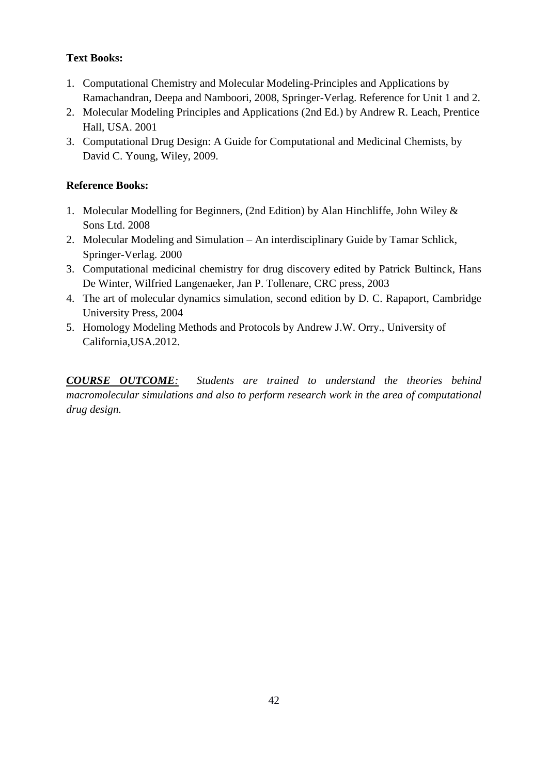### **Text Books:**

- 1. Computational Chemistry and Molecular Modeling-Principles and Applications by Ramachandran, Deepa and Namboori, 2008, Springer-Verlag. Reference for Unit 1 and 2.
- 2. Molecular Modeling Principles and Applications (2nd Ed.) by Andrew R. Leach, Prentice Hall, USA. 2001
- 3. Computational Drug Design: A Guide for Computational and Medicinal Chemists, by David C. Young, Wiley, 2009.

### **Reference Books:**

- 1. Molecular Modelling for Beginners, (2nd Edition) by Alan Hinchliffe, John Wiley & Sons Ltd. 2008
- 2. Molecular Modeling and Simulation An interdisciplinary Guide by Tamar Schlick, Springer-Verlag. 2000
- 3. Computational medicinal chemistry for drug discovery edited by Patrick Bultinck, Hans De Winter, Wilfried Langenaeker, Jan P. Tollenare, CRC press, 2003
- 4. The art of molecular dynamics simulation, second edition by D. C. Rapaport, Cambridge University Press, 2004
- 5. Homology Modeling Methods and Protocols by Andrew J.W. Orry., University of California,USA.2012.

*COURSE OUTCOME: Students are trained to understand the theories behind macromolecular simulations and also to perform research work in the area of computational drug design.*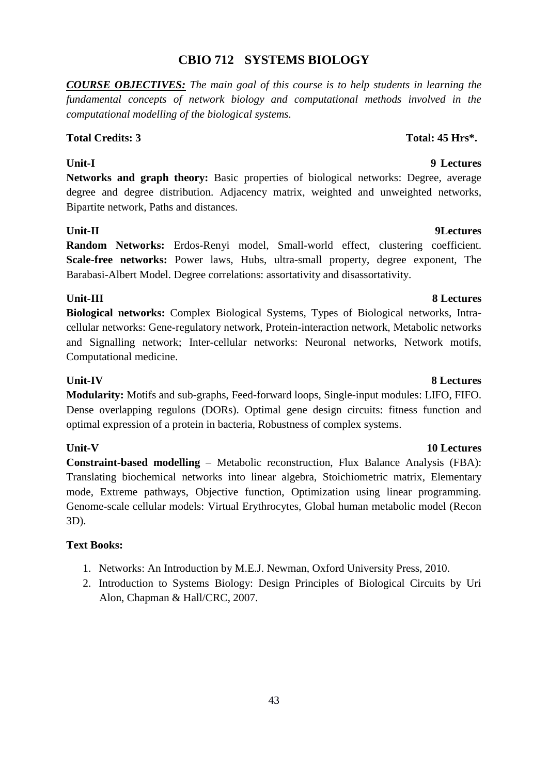### 43

### **CBIO 712 SYSTEMS BIOLOGY**

*COURSE OBJECTIVES: The main goal of this course is to help students in learning the fundamental concepts of network biology and computational methods involved in the computational modelling of the biological systems.*

### **Unit-I 9 Lectures**

**Networks and graph theory:** Basic properties of biological networks: Degree, average degree and degree distribution. Adjacency matrix, weighted and unweighted networks, Bipartite network, Paths and distances.

### **Unit-II 9Lectures**

**Random Networks:** Erdos-Renyi model, Small-world effect, clustering coefficient. **Scale-free networks:** Power laws, Hubs, ultra-small property, degree exponent, The Barabasi-Albert Model. Degree correlations: assortativity and disassortativity.

**Biological networks:** Complex Biological Systems, Types of Biological networks, Intracellular networks: Gene-regulatory network, Protein-interaction network, Metabolic networks and Signalling network; Inter-cellular networks: Neuronal networks, Network motifs, Computational medicine.

### **Unit-IV 8 Lectures**

**Modularity:** Motifs and sub-graphs, Feed-forward loops, Single-input modules: LIFO, FIFO. Dense overlapping regulons (DORs). Optimal gene design circuits: fitness function and optimal expression of a protein in bacteria, Robustness of complex systems.

**Constraint-based modelling** – Metabolic reconstruction, Flux Balance Analysis (FBA): Translating biochemical networks into linear algebra, Stoichiometric matrix, Elementary mode, Extreme pathways, Objective function, Optimization using linear programming. Genome-scale cellular models: Virtual Erythrocytes, Global human metabolic model (Recon 3D).

### **Text Books:**

- 1. Networks: An Introduction by M.E.J. Newman, Oxford University Press, 2010.
- 2. Introduction to Systems Biology: Design Principles of Biological Circuits by Uri Alon, Chapman & Hall/CRC, 2007.

# **Total Credits: 3 Total: 45 Hrs\*.**

### **Unit-III 8 Lectures**

### **Unit-V 10 Lectures**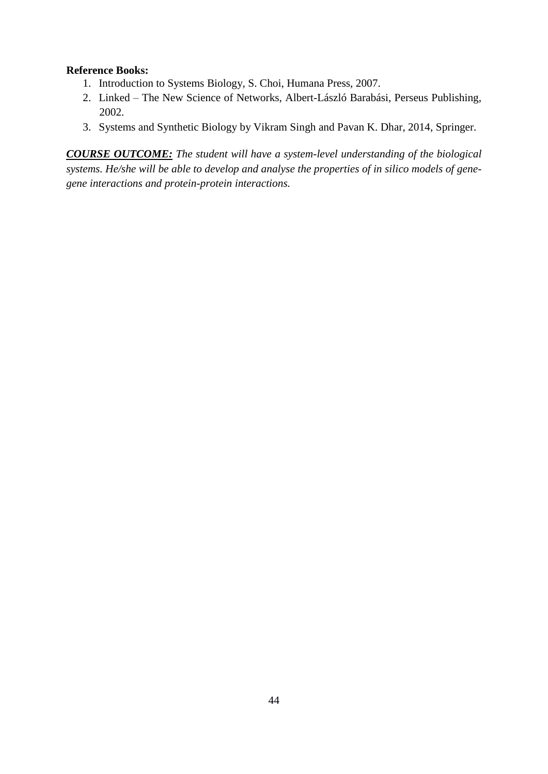### **Reference Books:**

- 1. Introduction to Systems Biology, S. Choi, Humana Press, 2007.
- 2. Linked The New Science of Networks, Albert-László Barabási, Perseus Publishing, 2002.
- 3. Systems and Synthetic Biology by Vikram Singh and Pavan K. Dhar, 2014, Springer.

*COURSE OUTCOME: The student will have a system-level understanding of the biological systems. He/she will be able to develop and analyse the properties of in silico models of genegene interactions and protein-protein interactions.*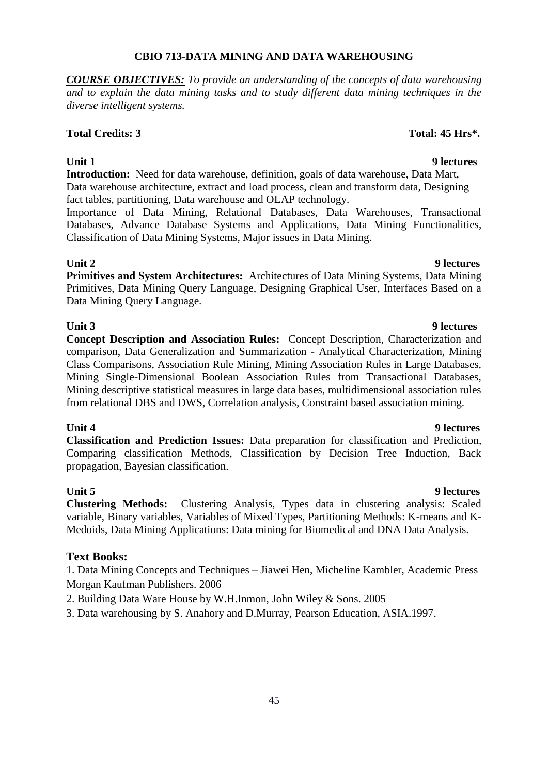### **CBIO 713-DATA MINING AND DATA WAREHOUSING**

*COURSE OBJECTIVES: To provide an understanding of the concepts of data warehousing and to explain the data mining tasks and to study different data mining techniques in the diverse intelligent systems.* 

#### **Total Credits: 3 Total: 45 Hrs\*.**

**Introduction:** Need for data warehouse, definition, goals of data warehouse, Data Mart, Data warehouse architecture, extract and load process, clean and transform data, Designing fact tables, partitioning, Data warehouse and OLAP technology.

Importance of Data Mining, Relational Databases, Data Warehouses, Transactional Databases, Advance Database Systems and Applications, Data Mining Functionalities, Classification of Data Mining Systems, Major issues in Data Mining.

### **Unit 2 9 lectures**

**Primitives and System Architectures:** Architectures of Data Mining Systems, Data Mining Primitives, Data Mining Query Language, Designing Graphical User, Interfaces Based on a Data Mining Query Language.

**Concept Description and Association Rules:** Concept Description, Characterization and comparison, Data Generalization and Summarization - Analytical Characterization, Mining Class Comparisons, Association Rule Mining, Mining Association Rules in Large Databases, Mining Single-Dimensional Boolean Association Rules from Transactional Databases, Mining descriptive statistical measures in large data bases, multidimensional association rules from relational DBS and DWS, Correlation analysis, Constraint based association mining.

**Classification and Prediction Issues:** Data preparation for classification and Prediction, Comparing classification Methods, Classification by Decision Tree Induction, Back propagation, Bayesian classification.

**Clustering Methods:** Clustering Analysis, Types data in clustering analysis: Scaled variable, Binary variables, Variables of Mixed Types, Partitioning Methods: K-means and K-Medoids, Data Mining Applications: Data mining for Biomedical and DNA Data Analysis.

### **Text Books:**

1. Data Mining Concepts and Techniques – Jiawei Hen, Micheline Kambler, Academic Press Morgan Kaufman Publishers. 2006

- 2. Building Data Ware House by W.H.Inmon, John Wiley & Sons. 2005
- 3. Data warehousing by S. Anahory and D.Murray, Pearson Education, ASIA.1997.

### **Unit 4** 9 lectures

### **Unit 3 9 lectures**

### **Unit 5** 9 lectures

### **Unit 1** 9 lectures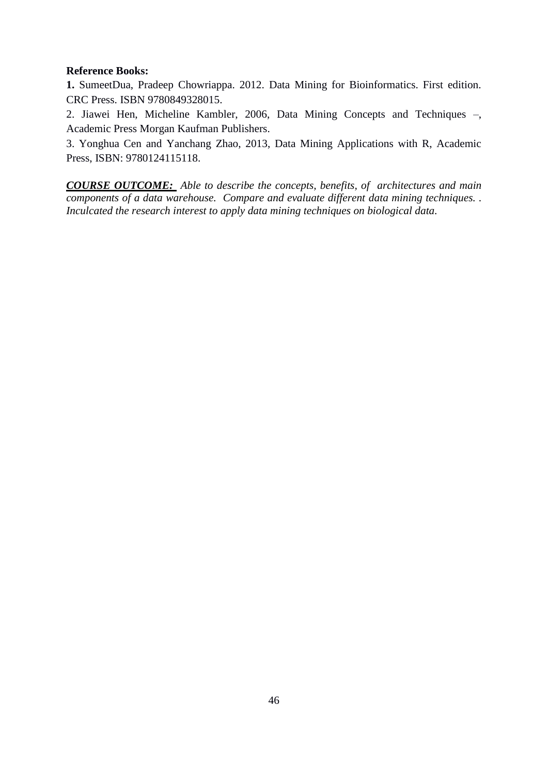#### **Reference Books:**

**1.** SumeetDua, Pradeep Chowriappa. 2012. Data Mining for Bioinformatics. First edition. CRC Press. ISBN 9780849328015.

2. Jiawei Hen, Micheline Kambler, 2006, Data Mining Concepts and Techniques –, Academic Press Morgan Kaufman Publishers.

3. Yonghua Cen and Yanchang Zhao, 2013, Data Mining Applications with R, Academic Press, ISBN: 9780124115118.

*COURSE OUTCOME: Able to describe the concepts, benefits, of architectures and main components of a data warehouse. Compare and evaluate different data mining techniques. . Inculcated the research interest to apply data mining techniques on biological data.*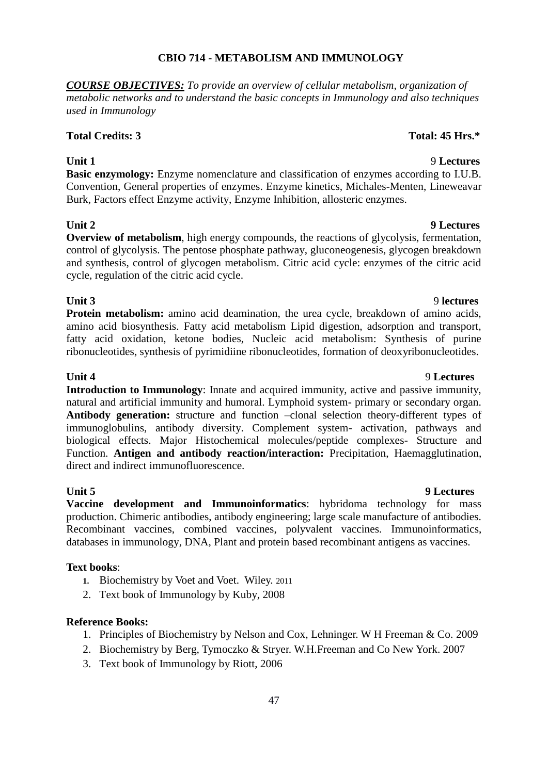#### 47

### **CBIO 714 - METABOLISM AND IMMUNOLOGY**

*COURSE OBJECTIVES: To provide an overview of cellular metabolism, organization of metabolic networks and to understand the basic concepts in Immunology and also techniques used in Immunology*

#### **Total Credits: 3 Total: 45 Hrs.\***

**Basic enzymology:** Enzyme nomenclature and classification of enzymes according to I.U.B. Convention, General properties of enzymes. Enzyme kinetics, Michales-Menten, Lineweavar Burk, Factors effect Enzyme activity, Enzyme Inhibition, allosteric enzymes.

**Overview of metabolism**, high energy compounds, the reactions of glycolysis, fermentation, control of glycolysis. The pentose phosphate pathway, gluconeogenesis, glycogen breakdown and synthesis, control of glycogen metabolism. Citric acid cycle: enzymes of the citric acid cycle, regulation of the citric acid cycle.

### **Unit 3** 9 **lectures**

**Protein metabolism:** amino acid deamination, the urea cycle, breakdown of amino acids, amino acid biosynthesis. Fatty acid metabolism Lipid digestion, adsorption and transport, fatty acid oxidation, ketone bodies, Nucleic acid metabolism: Synthesis of purine ribonucleotides, synthesis of pyrimidiine ribonucleotides, formation of deoxyribonucleotides.

### **Unit 4** 9 **Lectures**

**Introduction to Immunology**: Innate and acquired immunity, active and passive immunity, natural and artificial immunity and humoral. Lymphoid system- primary or secondary organ. **Antibody generation:** structure and function –clonal selection theory-different types of immunoglobulins, antibody diversity. Complement system- activation, pathways and biological effects. Major Histochemical molecules/peptide complexes- Structure and Function. **Antigen and antibody reaction/interaction:** Precipitation, Haemagglutination, direct and indirect immunofluorescence.

**Unit 5 9 Lectures Vaccine development and Immunoinformatics**: hybridoma technology for mass production. Chimeric antibodies, antibody engineering; large scale manufacture of antibodies. Recombinant vaccines, combined vaccines, polyvalent vaccines. Immunoinformatics, databases in immunology, DNA, Plant and protein based recombinant antigens as vaccines.

### **Text books**:

- **1.** Biochemistry by Voet and Voet. Wiley. 2011
- 2. Text book of Immunology by Kuby, 2008

### **Reference Books:**

- 1. Principles of Biochemistry by Nelson and Cox, Lehninger. W H Freeman & Co. 2009
- 2. Biochemistry by Berg, Tymoczko & Stryer. W.H.Freeman and Co New York. 2007
- 3. Text book of Immunology by Riott, 2006

### **Unit 1** 9 **Lectures**

### **Unit 2 9 Lectures**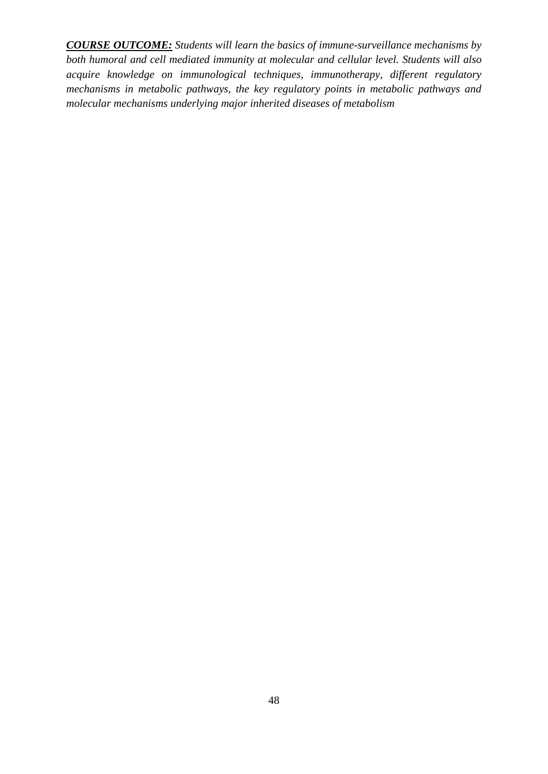*COURSE OUTCOME: Students will learn the basics of immune-surveillance mechanisms by both humoral and cell mediated immunity at molecular and cellular level. Students will also acquire knowledge on immunological techniques, immunotherapy, different regulatory mechanisms in metabolic pathways, the key regulatory points in metabolic pathways and molecular mechanisms underlying major inherited diseases of metabolism*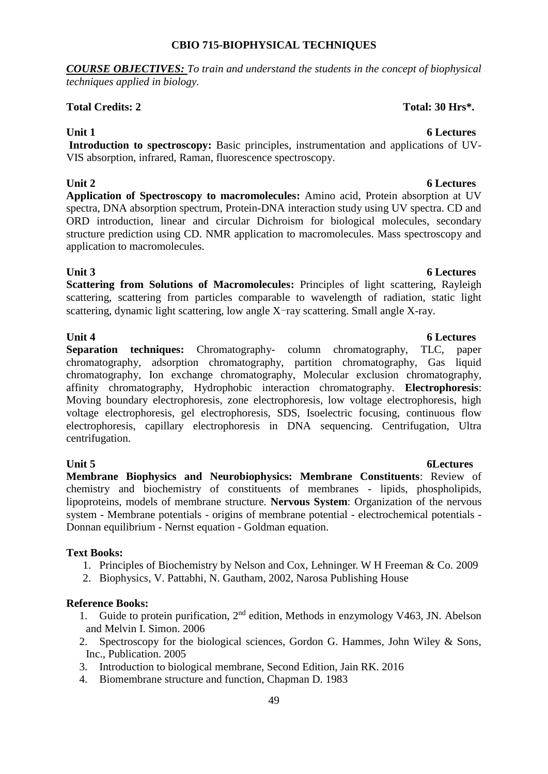#### 49

### **CBIO 715-BIOPHYSICAL TECHNIQUES**

*COURSE OBJECTIVES: To train and understand the students in the concept of biophysical techniques applied in biology.*

### **Total Credits: 2 Total: 30 Hrs\*.**

**Introduction to spectroscopy:** Basic principles, instrumentation and applications of UV-VIS absorption, infrared, Raman, fluorescence spectroscopy.

### **Unit 2** 6 Lectures

**Application of Spectroscopy to macromolecules:** Amino acid, Protein absorption at UV spectra, DNA absorption spectrum, Protein-DNA interaction study using UV spectra. CD and ORD introduction, linear and circular Dichroism for biological molecules, secondary structure prediction using CD. NMR application to macromolecules. Mass spectroscopy and application to macromolecules.

**Unit 3 6 Lectures Scattering from Solutions of Macromolecules:** Principles of light scattering, Rayleigh scattering, scattering from particles comparable to wavelength of radiation, static light scattering, dynamic light scattering, low angle X-ray scattering. Small angle X-ray.

**Unit 4 6 Lectures Separation techniques:** Chromatography- column chromatography, TLC, paper chromatography, adsorption chromatography, partition chromatography, Gas liquid chromatography, Ion exchange chromatography, Molecular exclusion chromatography, affinity chromatography, Hydrophobic interaction chromatography. **Electrophoresis**: Moving boundary electrophoresis, zone electrophoresis, low voltage electrophoresis, high voltage electrophoresis, gel electrophoresis, SDS, Isoelectric focusing, continuous flow electrophoresis, capillary electrophoresis in DNA sequencing. Centrifugation, Ultra centrifugation.

**Unit 5** 6Lectures **Membrane Biophysics and Neurobiophysics: Membrane Constituents**: Review of chemistry and biochemistry of constituents of membranes - lipids, phospholipids, lipoproteins, models of membrane structure. **Nervous System**: Organization of the nervous system - Membrane potentials - origins of membrane potential - electrochemical potentials - Donnan equilibrium - Nernst equation - Goldman equation.

### **Text Books:**

- 1. Principles of Biochemistry by Nelson and Cox, Lehninger. W H Freeman & Co. 2009
- 2. Biophysics, V. Pattabhi, N. Gautham, 2002, Narosa Publishing House

### **Reference Books:**

- 1. Guide to protein purification,  $2<sup>nd</sup>$  edition, Methods in enzymology V463, JN. Abelson and Melvin I. Simon. 2006
- 2. Spectroscopy for the biological sciences, Gordon G. Hammes, John Wiley & Sons, Inc., Publication. 2005
- 3. Introduction to biological membrane, Second Edition, Jain RK. 2016
- 4. Biomembrane structure and function, Chapman D. 1983

### **Unit 1** 6 Lectures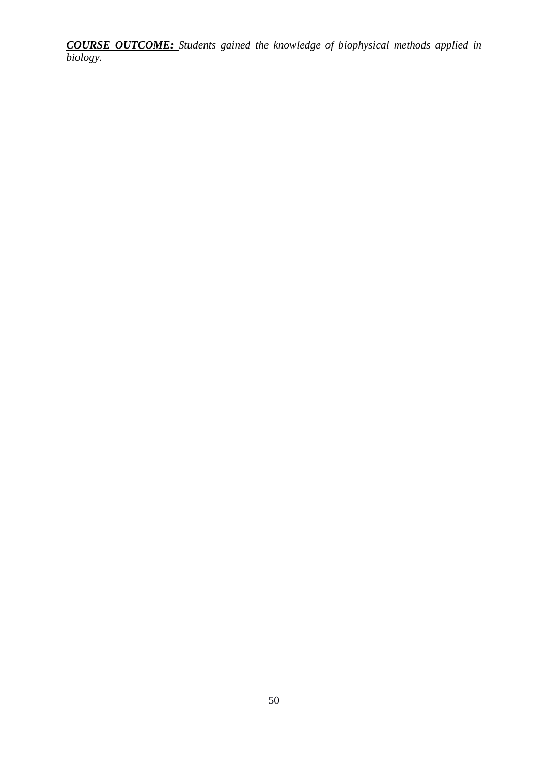*COURSE OUTCOME: Students gained the knowledge of biophysical methods applied in biology.*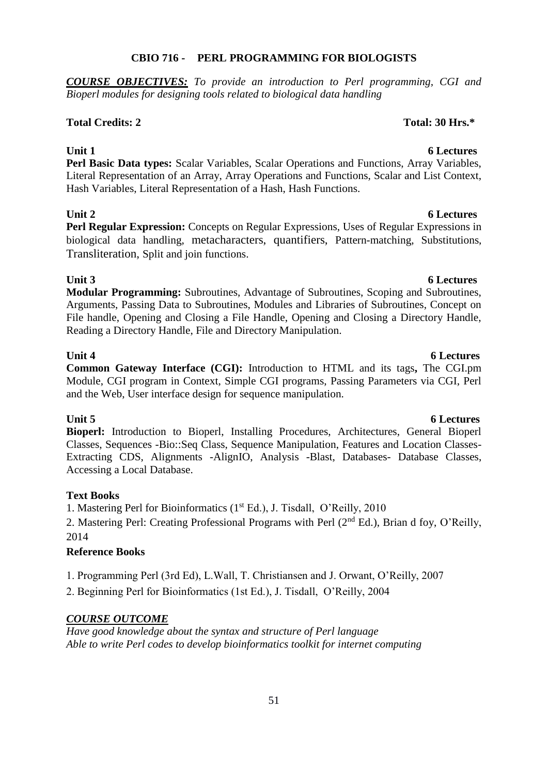#### 51

### **CBIO 716 - PERL PROGRAMMING FOR BIOLOGISTS**

*COURSE OBJECTIVES: To provide an introduction to Perl programming, CGI and Bioperl modules for designing tools related to biological data handling* 

#### **Total Credits: 2 Total: 30 Hrs.\***

**Unit 1** 6 Lectures Perl Basic Data types: Scalar Variables, Scalar Operations and Functions, Array Variables, Literal Representation of an Array, Array Operations and Functions, Scalar and List Context, Hash Variables, Literal Representation of a Hash, Hash Functions.

### **Unit 2** 6 Lectures

**Perl Regular Expression:** Concepts on Regular Expressions, Uses of Regular Expressions in biological data handling, metacharacters, quantifiers, Pattern-matching, Substitutions, Transliteration, Split and join functions.

**Unit 3** 6 Lectures **Modular Programming:** Subroutines, Advantage of Subroutines, Scoping and Subroutines, Arguments, Passing Data to Subroutines, Modules and Libraries of Subroutines, Concept on File handle, Opening and Closing a File Handle, Opening and Closing a Directory Handle, Reading a Directory Handle, File and Directory Manipulation.

#### **Unit 4** 6 Lectures **6 Lectures**

**Common Gateway Interface (CGI):** Introduction to HTML and its tags**,** The CGI.pm Module, CGI program in Context, Simple CGI programs, Passing Parameters via CGI, Perl and the Web, User interface design for sequence manipulation.

**Bioperl:** Introduction to Bioperl, Installing Procedures, Architectures, General Bioperl Classes, Sequences -Bio::Seq Class, Sequence Manipulation, Features and Location Classes-Extracting CDS, Alignments -AlignIO, Analysis -Blast, Databases- Database Classes, Accessing a Local Database.

#### **Text Books**

1. Mastering Perl for Bioinformatics (1st Ed.), J. Tisdall, O'Reilly, 2010

2. Mastering Perl: Creating Professional Programs with Perl (2<sup>nd</sup> Ed.), Brian d foy, O'Reilly, 2014

### **Reference Books**

1. Programming Perl (3rd Ed), L.Wall, T. Christiansen and J. Orwant, O'Reilly, 2007

2. Beginning Perl for Bioinformatics (1st Ed.), J. Tisdall, O'Reilly, 2004

### *COURSE OUTCOME*

*Have good knowledge about the syntax and structure of Perl language Able to write Perl codes to develop bioinformatics toolkit for internet computing*

### **Unit 5** 6 Lectures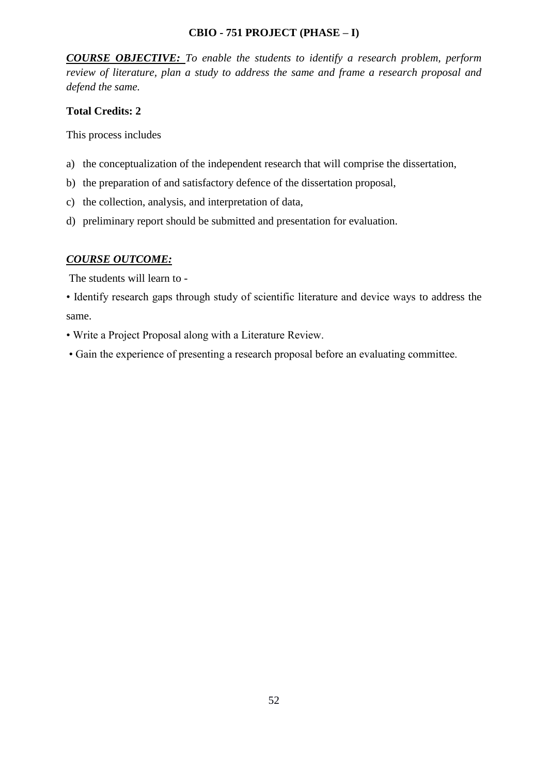#### **CBIO - 751 PROJECT (PHASE – I)**

*COURSE OBJECTIVE: To enable the students to identify a research problem, perform review of literature, plan a study to address the same and frame a research proposal and defend the same.*

#### **Total Credits: 2**

This process includes

- a) the conceptualization of the independent research that will comprise the dissertation,
- b) the preparation of and satisfactory defence of the dissertation proposal,
- c) the collection, analysis, and interpretation of data,
- d) preliminary report should be submitted and presentation for evaluation.

#### *COURSE OUTCOME:*

The students will learn to -

• Identify research gaps through study of scientific literature and device ways to address the same.

• Write a Project Proposal along with a Literature Review.

• Gain the experience of presenting a research proposal before an evaluating committee.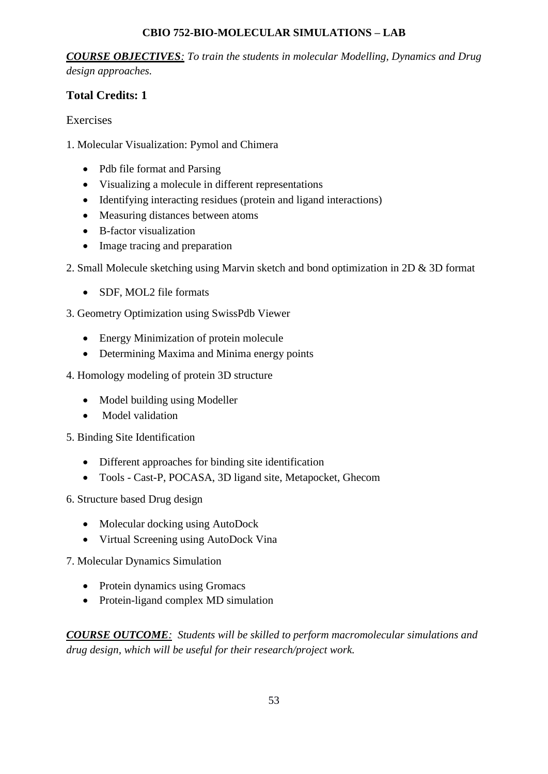### **CBIO 752-BIO-MOLECULAR SIMULATIONS – LAB**

*COURSE OBJECTIVES: To train the students in molecular Modelling, Dynamics and Drug design approaches.*

### **Total Credits: 1**

### Exercises

1. Molecular Visualization: Pymol and Chimera

- Pdb file format and Parsing
- Visualizing a molecule in different representations
- Identifying interacting residues (protein and ligand interactions)
- Measuring distances between atoms
- B-factor visualization
- Image tracing and preparation
- 2. Small Molecule sketching using Marvin sketch and bond optimization in 2D & 3D format
	- SDF, MOL2 file formats

3. Geometry Optimization using SwissPdb Viewer

- Energy Minimization of protein molecule
- Determining Maxima and Minima energy points
- 4. Homology modeling of protein 3D structure
	- Model building using Modeller
	- Model validation

### 5. Binding Site Identification

- Different approaches for binding site identification
- Tools Cast-P, POCASA, 3D ligand site, Metapocket, Ghecom

### 6. Structure based Drug design

- Molecular docking using AutoDock
- Virtual Screening using AutoDock Vina
- 7. Molecular Dynamics Simulation
	- Protein dynamics using Gromacs
	- Protein-ligand complex MD simulation

*COURSE OUTCOME: Students will be skilled to perform macromolecular simulations and drug design, which will be useful for their research/project work.*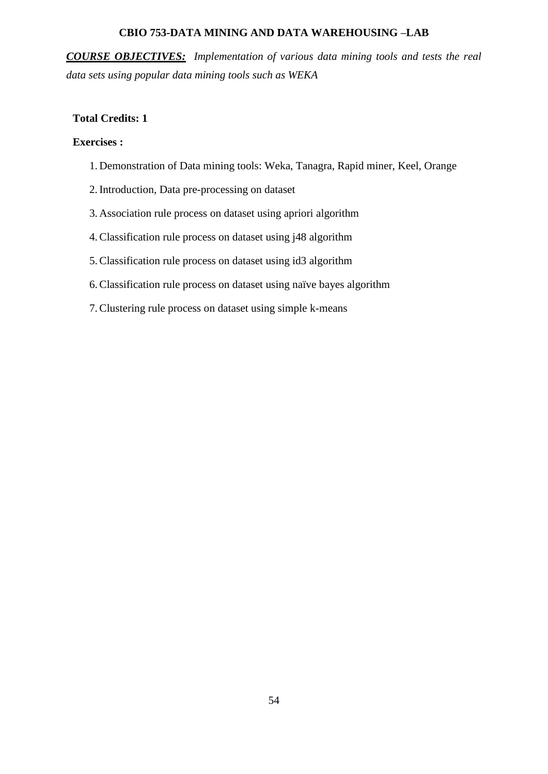#### **CBIO 753-DATA MINING AND DATA WAREHOUSING –LAB**

*COURSE OBJECTIVES: Implementation of various data mining tools and tests the real data sets using popular data mining tools such as WEKA*

### **Total Credits: 1**

#### **Exercises :**

- 1. Demonstration of Data mining tools: Weka, Tanagra, Rapid miner, Keel, Orange
- 2.Introduction, Data pre-processing on dataset
- 3. Association rule process on dataset using apriori algorithm
- 4.Classification rule process on dataset using j48 algorithm
- 5.Classification rule process on dataset using id3 algorithm
- 6.Classification rule process on dataset using naïve bayes algorithm
- 7.Clustering rule process on dataset using simple k-means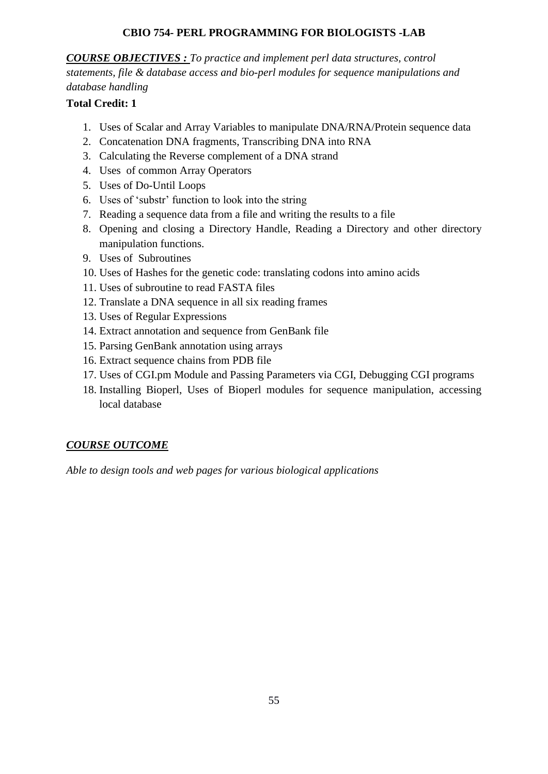### **CBIO 754- PERL PROGRAMMING FOR BIOLOGISTS -LAB**

*COURSE OBJECTIVES : To practice and implement perl data structures, control statements, file & database access and bio-perl modules for sequence manipulations and database handling*

### **Total Credit: 1**

- 1. Uses of Scalar and Array Variables to manipulate DNA/RNA/Protein sequence data
- 2. Concatenation DNA fragments, Transcribing DNA into RNA
- 3. Calculating the Reverse complement of a DNA strand
- 4. Uses of common Array Operators
- 5. Uses of Do-Until Loops
- 6. Uses of 'substr' function to look into the string
- 7. Reading a sequence data from a file and writing the results to a file
- 8. Opening and closing a Directory Handle, Reading a Directory and other directory manipulation functions.
- 9. Uses of Subroutines
- 10. Uses of Hashes for the genetic code: translating codons into amino acids
- 11. Uses of subroutine to read FASTA files
- 12. Translate a DNA sequence in all six reading frames
- 13. Uses of Regular Expressions
- 14. Extract annotation and sequence from GenBank file
- 15. Parsing GenBank annotation using arrays
- 16. Extract sequence chains from PDB file
- 17. Uses of CGI.pm Module and Passing Parameters via CGI, Debugging CGI programs
- 18. Installing Bioperl, Uses of Bioperl modules for sequence manipulation, accessing local database

#### *COURSE OUTCOME*

*Able to design tools and web pages for various biological applications*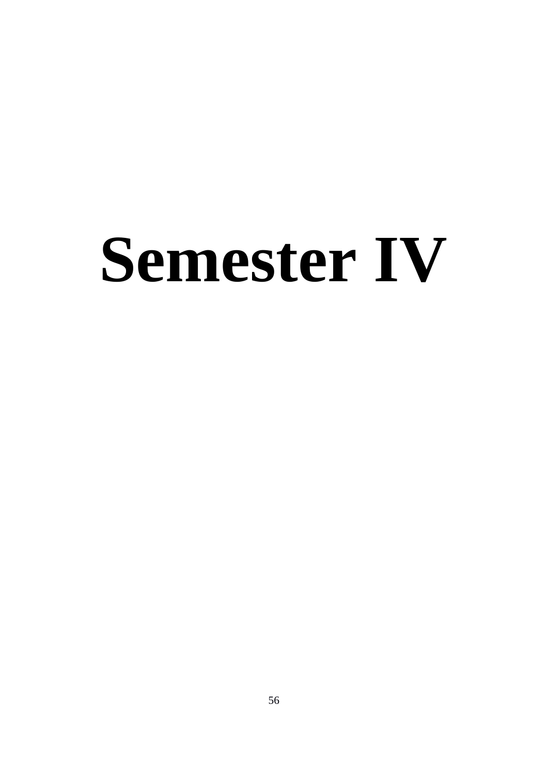# **Semester IV**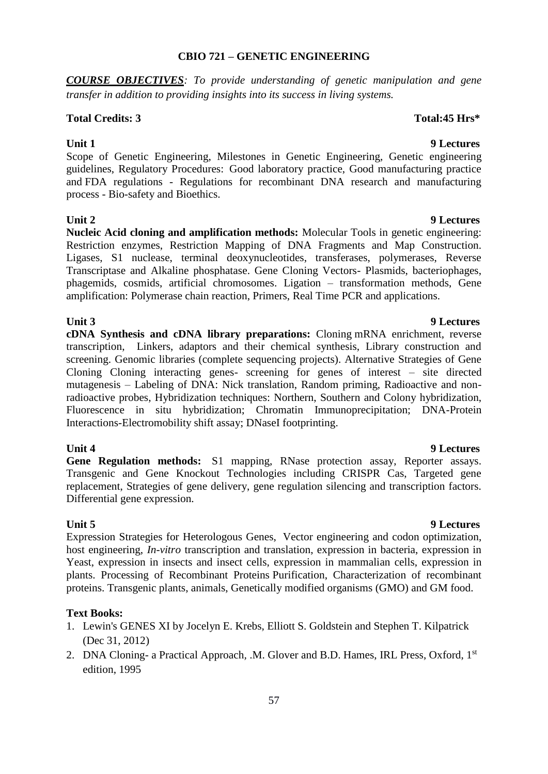#### **CBIO 721 – GENETIC ENGINEERING**

*COURSE OBJECTIVES: To provide understanding of genetic manipulation and gene transfer in addition to providing insights into its success in living systems.*

#### **Total Credits: 3 Total:45 Hrs\***

Scope of Genetic Engineering, Milestones in Genetic Engineering, Genetic engineering guidelines, Regulatory Procedures: Good laboratory practice, Good manufacturing practice and FDA regulations - Regulations for recombinant DNA research and manufacturing process - Bio-safety and Bioethics.

#### **Unit 2 9 Lectures**

**Nucleic Acid cloning and amplification methods:** Molecular Tools in genetic engineering: Restriction enzymes, Restriction Mapping of DNA Fragments and Map Construction. Ligases, S1 nuclease, terminal deoxynucleotides, transferases, polymerases, Reverse Transcriptase and Alkaline phosphatase. Gene Cloning Vectors- Plasmids, bacteriophages, phagemids, cosmids, artificial chromosomes. Ligation – transformation methods, Gene amplification: Polymerase chain reaction, Primers, Real Time PCR and applications.

**cDNA Synthesis and cDNA library preparations:** Cloning mRNA enrichment, reverse transcription, Linkers, adaptors and their chemical synthesis, Library construction and screening. Genomic libraries (complete sequencing projects). Alternative Strategies of Gene Cloning Cloning interacting genes- screening for genes of interest – site directed mutagenesis – Labeling of DNA: Nick translation, Random priming, Radioactive and nonradioactive probes, Hybridization techniques: Northern, Southern and Colony hybridization, Fluorescence in situ hybridization; Chromatin Immunoprecipitation; DNA-Protein Interactions-Electromobility shift assay; DNaseI footprinting.

**Gene Regulation methods:** S1 mapping, RNase protection assay, Reporter assays. Transgenic and Gene Knockout Technologies including CRISPR Cas, Targeted gene replacement, Strategies of gene delivery, gene regulation silencing and transcription factors. Differential gene expression.

**Unit 5 9 Lectures** Expression Strategies for Heterologous Genes, Vector engineering and codon optimization, host engineering, *In-vitro* transcription and translation, expression in bacteria, expression in Yeast, expression in insects and insect cells, expression in mammalian cells, expression in plants. Processing of Recombinant Proteins Purification, Characterization of recombinant proteins. Transgenic plants, animals, Genetically modified organisms (GMO) and GM food.

#### **Text Books:**

- 1. Lewin's GENES XI by Jocelyn E. Krebs, Elliott S. Goldstein and Stephen T. Kilpatrick (Dec 31, 2012)
- 2. DNA Cloning- a Practical Approach*,* .M. Glover and B.D. Hames, IRL Press, Oxford, 1st edition, 1995

## **Unit 3 9 Lectures**

# **Unit 1 9 Lectures**

# **Unit 4 9 Lectures**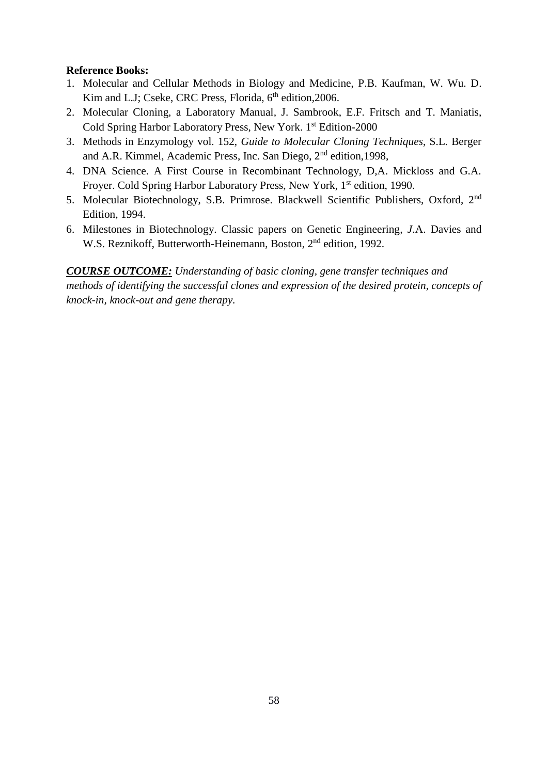### **Reference Books:**

- 1. Molecular and Cellular Methods in Biology and Medicine, P.B. Kaufman, W. Wu. D. Kim and L.J; Cseke, CRC Press, Florida, 6<sup>th</sup> edition, 2006.
- 2. Molecular Cloning, a Laboratory Manual*,* J. Sambrook, E.F. Fritsch and T. Maniatis, Cold Spring Harbor Laboratory Press, New York. 1<sup>st</sup> Edition-2000
- 3. Methods in Enzymology vol. 152, *Guide to Molecular Cloning Techniques*, S.L. Berger and A.R. Kimmel, Academic Press, Inc. San Diego, 2nd edition,1998,
- 4. DNA Science. A First Course in Recombinant Technology, D,A. Mickloss and G.A. Froyer. Cold Spring Harbor Laboratory Press, New York, 1<sup>st</sup> edition, 1990.
- 5. Molecular Biotechnology, S.B. Primrose. Blackwell Scientific Publishers, Oxford, 2nd Edition, 1994.
- 6. Milestones in Biotechnology. Classic papers on Genetic Engineering*, J*.A. Davies and W.S. Reznikoff, Butterworth-Heinemann, Boston, 2<sup>nd</sup> edition, 1992.

### *COURSE OUTCOME: Understanding of basic cloning, gene transfer techniques and*

*methods of identifying the successful clones and expression of the desired protein, concepts of knock-in, knock-out and gene therapy.*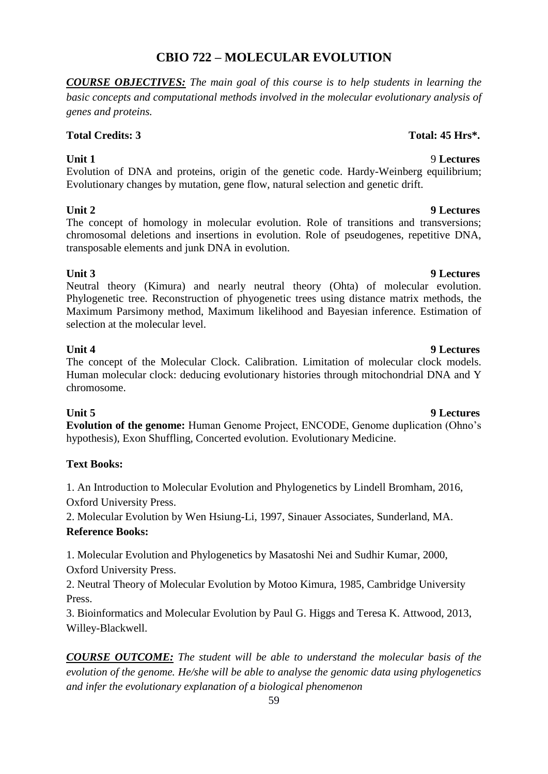#### 59

### **CBIO 722 – MOLECULAR EVOLUTION**

*COURSE OBJECTIVES: The main goal of this course is to help students in learning the basic concepts and computational methods involved in the molecular evolutionary analysis of genes and proteins.*

### **Total Credits: 3 Total: 45 Hrs\*.**

### **Unit 1** 9 **Lectures**

Evolution of DNA and proteins, origin of the genetic code. Hardy-Weinberg equilibrium; Evolutionary changes by mutation, gene flow, natural selection and genetic drift.

**Unit 2 9 Lectures** The concept of homology in molecular evolution. Role of transitions and transversions; chromosomal deletions and insertions in evolution. Role of pseudogenes, repetitive DNA, transposable elements and junk DNA in evolution.

**Unit 3 9 Lectures** Neutral theory (Kimura) and nearly neutral theory (Ohta) of molecular evolution. Phylogenetic tree. Reconstruction of phyogenetic trees using distance matrix methods, the Maximum Parsimony method, Maximum likelihood and Bayesian inference. Estimation of selection at the molecular level.

**Unit 4 9 Lectures** The concept of the Molecular Clock. Calibration. Limitation of molecular clock models. Human molecular clock: deducing evolutionary histories through mitochondrial DNA and Y chromosome.

**Unit 5 9 Lectures Evolution of the genome:** Human Genome Project, ENCODE, Genome duplication (Ohno's hypothesis), Exon Shuffling, Concerted evolution. Evolutionary Medicine.

### **Text Books:**

1. An Introduction to Molecular Evolution and Phylogenetics by Lindell Bromham, 2016, Oxford University Press.

2. Molecular Evolution by Wen Hsiung-Li, 1997, Sinauer Associates, Sunderland, MA. **Reference Books:**

1. Molecular Evolution and Phylogenetics by Masatoshi Nei and Sudhir Kumar, 2000, Oxford University Press.

2. Neutral Theory of Molecular Evolution by Motoo Kimura, 1985, Cambridge University Press.

3. Bioinformatics and Molecular Evolution by Paul G. Higgs and Teresa K. Attwood, 2013, Willey-Blackwell.

*COURSE OUTCOME: The student will be able to understand the molecular basis of the evolution of the genome. He/she will be able to analyse the genomic data using phylogenetics and infer the evolutionary explanation of a biological phenomenon*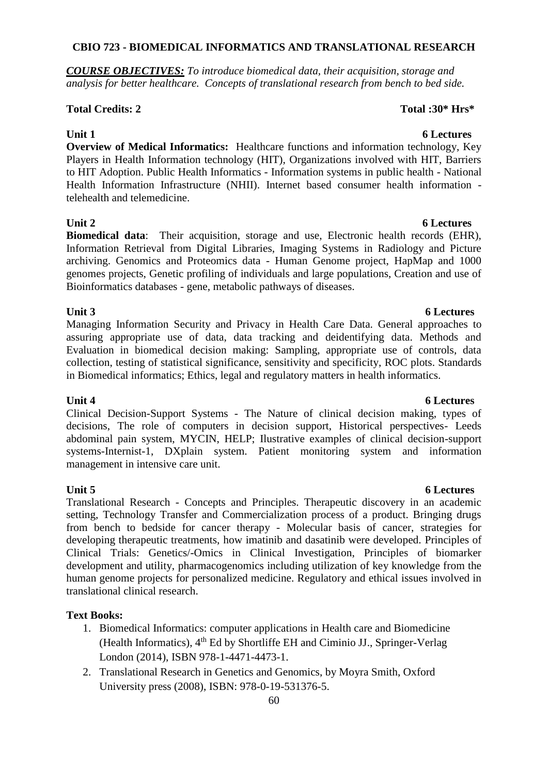#### **CBIO 723 - BIOMEDICAL INFORMATICS AND TRANSLATIONAL RESEARCH**

*COURSE OBJECTIVES: To introduce biomedical data, their acquisition, storage and analysis for better healthcare. Concepts of translational research from bench to bed side.*

#### **Total Credits: 2 Total :30\* Hrs\***

#### **Unit 1** 6 Lectures

**Overview of Medical Informatics:** Healthcare functions and information technology, Key Players in Health Information technology (HIT), Organizations involved with HIT, Barriers to HIT Adoption. Public Health Informatics - Information systems in public health - National Health Information Infrastructure (NHII). Internet based consumer health information telehealth and telemedicine.

**Biomedical data**: Their acquisition, storage and use, Electronic health records (EHR), Information Retrieval from Digital Libraries, Imaging Systems in Radiology and Picture archiving. Genomics and Proteomics data - Human Genome project, HapMap and 1000 genomes projects, Genetic profiling of individuals and large populations, Creation and use of Bioinformatics databases - gene, metabolic pathways of diseases.

#### **Unit 3 6 Lectures**

Managing Information Security and Privacy in Health Care Data. General approaches to assuring appropriate use of data, data tracking and deidentifying data. Methods and Evaluation in biomedical decision making: Sampling, appropriate use of controls, data collection, testing of statistical significance, sensitivity and specificity, ROC plots. Standards in Biomedical informatics; Ethics, legal and regulatory matters in health informatics.

Clinical Decision-Support Systems - The Nature of clinical decision making, types of decisions, The role of computers in decision support, Historical perspectives- Leeds abdominal pain system, MYCIN, HELP; Ilustrative examples of clinical decision-support systems-Internist-1, DXplain system. Patient monitoring system and information management in intensive care unit.

#### **Unit 5** 6 Lectures

Translational Research - Concepts and Principles. Therapeutic discovery in an academic setting, Technology Transfer and Commercialization process of a product. Bringing drugs from bench to bedside for cancer therapy - Molecular basis of cancer, strategies for developing therapeutic treatments, how imatinib and dasatinib were developed. Principles of Clinical Trials: Genetics/-Omics in Clinical Investigation, Principles of biomarker development and utility, pharmacogenomics including utilization of key knowledge from the human genome projects for personalized medicine. Regulatory and ethical issues involved in translational clinical research.

#### **Text Books:**

- 1. Biomedical Informatics: computer applications in Health care and Biomedicine (Health Informatics),  $4<sup>th</sup>$  Ed by Shortliffe EH and Ciminio JJ., Springer-Verlag London (2014), ISBN 978-1-4471-4473-1.
- 2. Translational Research in Genetics and Genomics, by Moyra Smith, Oxford University press (2008), ISBN: 978-0-19-531376-5.

### **Unit 4 6 Lectures**

### **Unit 2** 6 Lectures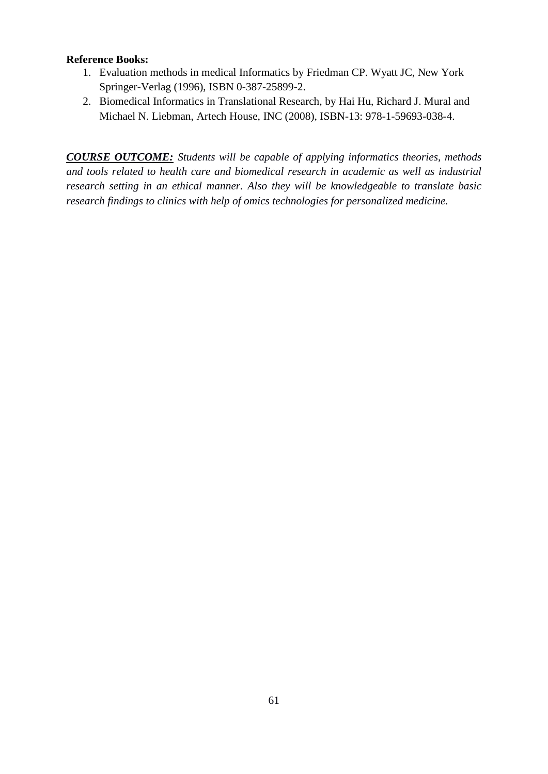### **Reference Books:**

- 1. Evaluation methods in medical Informatics by Friedman CP. Wyatt JC, New York Springer-Verlag (1996), ISBN 0-387-25899-2.
- 2. Biomedical Informatics in Translational Research, by Hai Hu, Richard J. Mural and Michael N. Liebman, Artech House, INC (2008), ISBN-13: 978-1-59693-038-4.

*COURSE OUTCOME: Students will be capable of applying informatics theories, methods and tools related to health care and biomedical research in academic as well as industrial research setting in an ethical manner. Also they will be knowledgeable to translate basic research findings to clinics with help of omics technologies for personalized medicine.*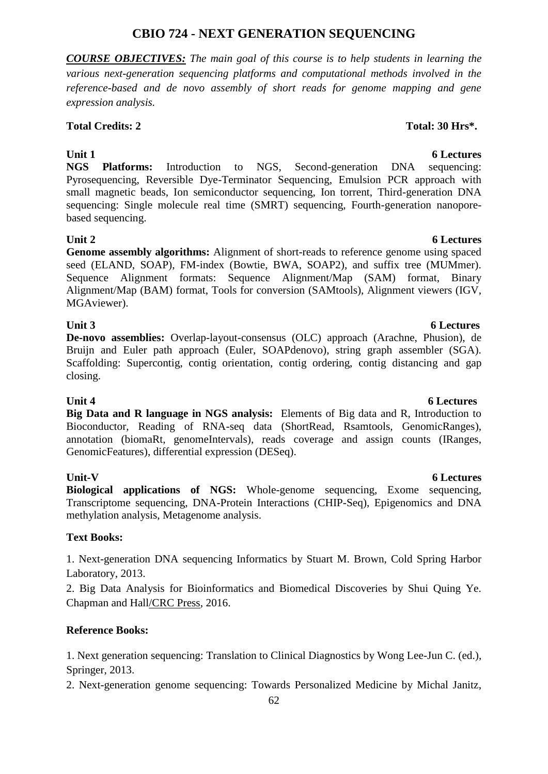### **CBIO 724 - NEXT GENERATION SEQUENCING**

*COURSE OBJECTIVES: The main goal of this course is to help students in learning the various next-generation sequencing platforms and computational methods involved in the reference-based and de novo assembly of short reads for genome mapping and gene expression analysis.*

### **Total Credits: 2 Total: 30 Hrs\*.**

**Unit 1** 6 Lectures **NGS Platforms:** Introduction to NGS, Second-generation DNA sequencing: Pyrosequencing, Reversible Dye-Terminator Sequencing, Emulsion PCR approach with small magnetic beads, Ion semiconductor sequencing, Ion torrent, Third-generation DNA sequencing: Single molecule real time (SMRT) sequencing, Fourth-generation nanoporebased sequencing.

**Unit 2 6 Lectures Genome assembly algorithms:** Alignment of short-reads to reference genome using spaced seed (ELAND, SOAP), FM-index (Bowtie, BWA, SOAP2), and suffix tree (MUMmer). Sequence Alignment formats: Sequence Alignment/Map (SAM) format, Binary Alignment/Map (BAM) format, Tools for conversion (SAMtools), Alignment viewers (IGV, MGAviewer).

### **Unit 3** 6 Lectures **6 Lectures**

**De-novo assemblies:** Overlap-layout-consensus (OLC) approach (Arachne, Phusion), de Bruijn and Euler path approach (Euler, SOAPdenovo), string graph assembler (SGA). Scaffolding: Supercontig, contig orientation, contig ordering, contig distancing and gap closing.

**Big Data and R language in NGS analysis:** Elements of Big data and R, Introduction to Bioconductor, Reading of RNA-seq data (ShortRead, Rsamtools, GenomicRanges), annotation (biomaRt, genomeIntervals), reads coverage and assign counts (IRanges, GenomicFeatures), differential expression (DESeq).

**Biological applications of NGS:** Whole-genome sequencing, Exome sequencing, Transcriptome sequencing, DNA-Protein Interactions (CHIP-Seq), Epigenomics and DNA methylation analysis, Metagenome analysis.

### **Text Books:**

1. Next-generation DNA sequencing Informatics by Stuart M. Brown, Cold Spring Harbor Laboratory, 2013.

2. Big Data Analysis for Bioinformatics and Biomedical Discoveries by Shui Quing Ye. Chapman and Hall/CRC Press, 2016.

### **Reference Books:**

1. Next generation sequencing: Translation to Clinical Diagnostics by Wong Lee-Jun C. (ed.), Springer, 2013.

2. Next-generation genome sequencing: Towards Personalized Medicine by Michal Janitz,

### **Unit 4 6 Lectures**

### **Unit-V 6 Lectures**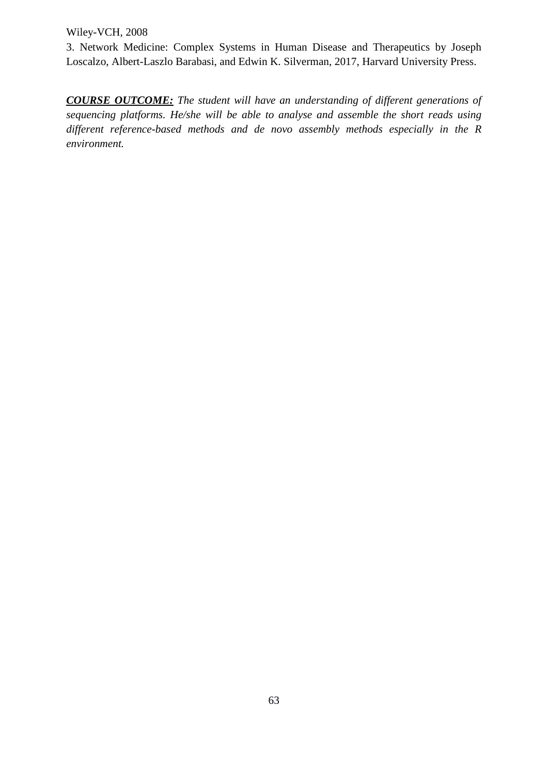#### Wiley-VCH, 2008

3. Network Medicine: Complex Systems in Human Disease and Therapeutics by Joseph Loscalzo, Albert-Laszlo Barabasi, and Edwin K. Silverman, 2017, Harvard University Press.

*COURSE OUTCOME: The student will have an understanding of different generations of sequencing platforms. He/she will be able to analyse and assemble the short reads using different reference-based methods and de novo assembly methods especially in the R environment.*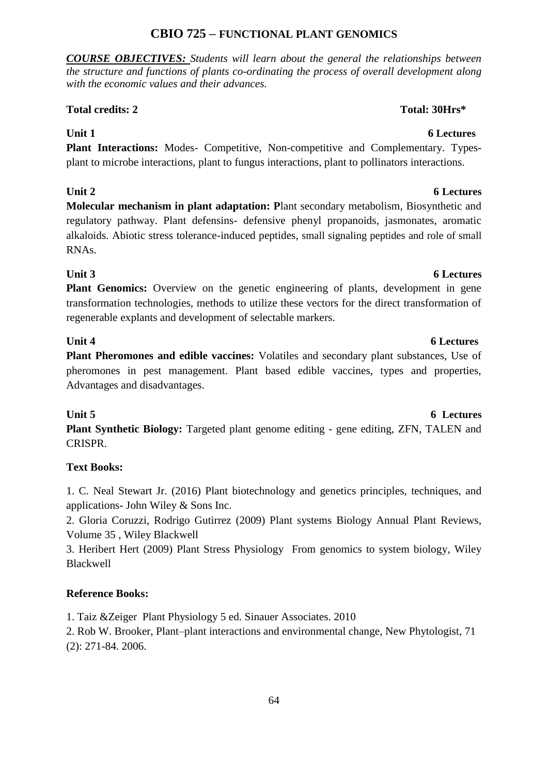#### 64

### **CBIO 725 – FUNCTIONAL PLANT GENOMICS**

*COURSE OBJECTIVES: Students will learn about the general the relationships between the structure and functions of plants co-ordinating the process of overall development along with the economic values and their advances.* 

### **Total credits: 2 Total: 30Hrs\***

Plant Interactions: Modes- Competitive, Non-competitive and Complementary. Typesplant to microbe interactions, plant to fungus interactions, plant to pollinators interactions.

### **Unit 2 6 Lectures**

**Molecular mechanism in plant adaptation: P**lant secondary metabolism, Biosynthetic and regulatory pathway. Plant defensins- defensive phenyl propanoids, jasmonates, aromatic alkaloids. Abiotic stress tolerance-induced peptides, small signaling peptides and role of small RNAs.

### **Unit 3** 6 Lectures

**Plant Genomics:** Overview on the genetic engineering of plants, development in gene transformation technologies, methods to utilize these vectors for the direct transformation of regenerable explants and development of selectable markers.

**Plant Pheromones and edible vaccines:** Volatiles and secondary plant substances, Use of pheromones in pest management. Plant based edible vaccines, types and properties, Advantages and disadvantages.

**Plant Synthetic Biology:** Targeted plant genome editing - gene editing, ZFN, TALEN and CRISPR.

### **Text Books:**

1. C. Neal Stewart Jr. (2016) Plant biotechnology and genetics principles, techniques, and applications- John Wiley & Sons Inc.

2. Gloria Coruzzi, Rodrigo Gutirrez (2009) Plant systems Biology Annual Plant Reviews, Volume 35 , Wiley Blackwell

3. Heribert Hert (2009) Plant Stress Physiology From genomics to system biology, Wiley Blackwell

### **Reference Books:**

1. Taiz &Zeiger Plant Physiology 5 ed. Sinauer Associates. 2010

2. Rob W. Brooker, Plant–plant interactions and environmental change, New Phytologist, 71 (2): 271-84. 2006.

# **Unit 5** 6 Lectures

### **Unit 4 6 Lectures**

## **Unit 1** 6 Lectures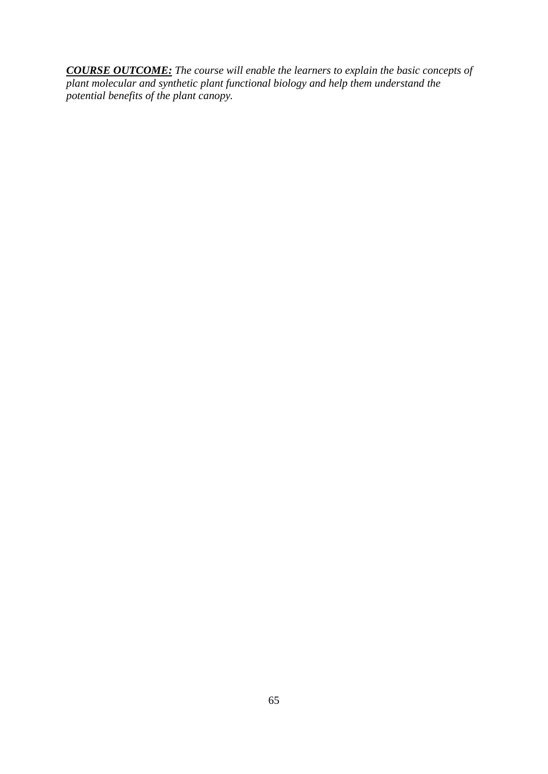*COURSE OUTCOME: The course will enable the learners to explain the basic concepts of plant molecular and synthetic plant functional biology and help them understand the potential benefits of the plant canopy.*